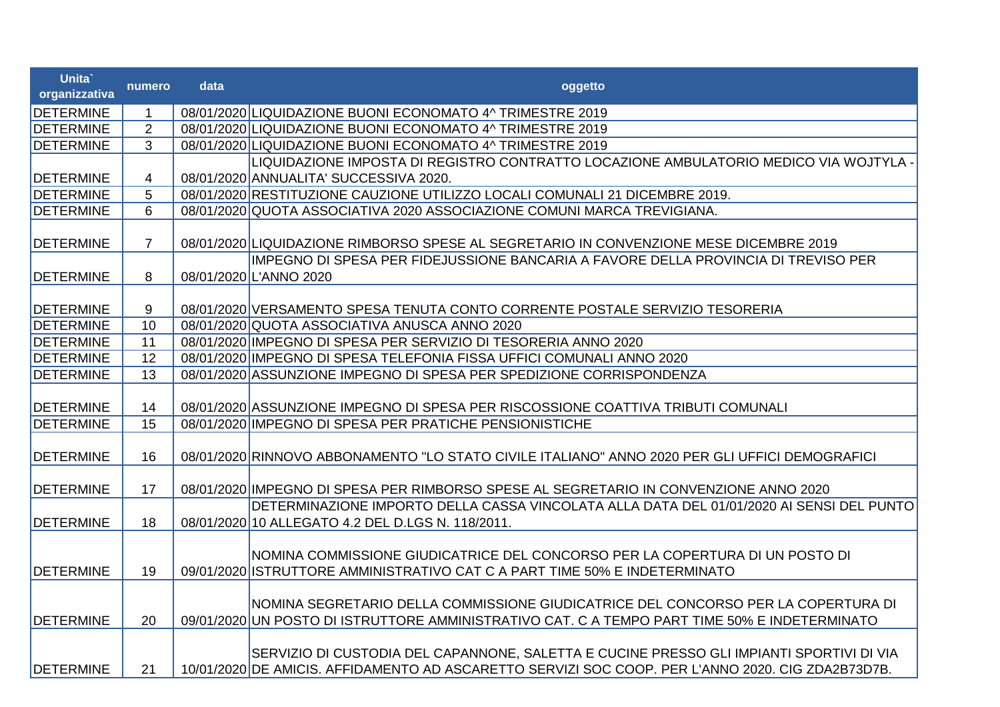| Unita`<br>organizzativa | numero         | data | oggetto                                                                                                                                                                                       |
|-------------------------|----------------|------|-----------------------------------------------------------------------------------------------------------------------------------------------------------------------------------------------|
| <b>DETERMINE</b>        | $\mathbf 1$    |      | 08/01/2020 LIQUIDAZIONE BUONI ECONOMATO 4^ TRIMESTRE 2019                                                                                                                                     |
| <b>DETERMINE</b>        | $\overline{2}$ |      | 08/01/2020 LIQUIDAZIONE BUONI ECONOMATO 4^ TRIMESTRE 2019                                                                                                                                     |
| <b>DETERMINE</b>        | 3              |      | 08/01/2020 LIQUIDAZIONE BUONI ECONOMATO 4^ TRIMESTRE 2019                                                                                                                                     |
|                         |                |      | LIQUIDAZIONE IMPOSTA DI REGISTRO CONTRATTO LOCAZIONE AMBULATORIO MEDICO VIA WOJTYLA -                                                                                                         |
| <b>DETERMINE</b>        | $\overline{4}$ |      | 08/01/2020 ANNUALITA' SUCCESSIVA 2020.                                                                                                                                                        |
| <b>DETERMINE</b>        | 5              |      | 08/01/2020 RESTITUZIONE CAUZIONE UTILIZZO LOCALI COMUNALI 21 DICEMBRE 2019.                                                                                                                   |
| <b>DETERMINE</b>        | 6              |      | 08/01/2020 QUOTA ASSOCIATIVA 2020 ASSOCIAZIONE COMUNI MARCA TREVIGIANA.                                                                                                                       |
|                         |                |      |                                                                                                                                                                                               |
| <b>DETERMINE</b>        | $\overline{7}$ |      | 08/01/2020 LIQUIDAZIONE RIMBORSO SPESE AL SEGRETARIO IN CONVENZIONE MESE DICEMBRE 2019                                                                                                        |
|                         |                |      | IMPEGNO DI SPESA PER FIDEJUSSIONE BANCARIA A FAVORE DELLA PROVINCIA DI TREVISO PER                                                                                                            |
| <b>DETERMINE</b>        | 8              |      | 08/01/2020 L'ANNO 2020                                                                                                                                                                        |
|                         |                |      |                                                                                                                                                                                               |
| <b>DETERMINE</b>        | 9              |      | 08/01/2020 VERSAMENTO SPESA TENUTA CONTO CORRENTE POSTALE SERVIZIO TESORERIA                                                                                                                  |
| <b>DETERMINE</b>        | 10             |      | 08/01/2020 QUOTA ASSOCIATIVA ANUSCA ANNO 2020                                                                                                                                                 |
| <b>DETERMINE</b>        | 11             |      | 08/01/2020 IMPEGNO DI SPESA PER SERVIZIO DI TESORERIA ANNO 2020                                                                                                                               |
| <b>DETERMINE</b>        | 12             |      | 08/01/2020 IMPEGNO DI SPESA TELEFONIA FISSA UFFICI COMUNALI ANNO 2020                                                                                                                         |
| <b>DETERMINE</b>        | 13             |      | 08/01/2020 ASSUNZIONE IMPEGNO DI SPESA PER SPEDIZIONE CORRISPONDENZA                                                                                                                          |
|                         |                |      |                                                                                                                                                                                               |
| <b>DETERMINE</b>        | 14             |      | 08/01/2020 ASSUNZIONE IMPEGNO DI SPESA PER RISCOSSIONE COATTIVA TRIBUTI COMUNALI                                                                                                              |
| <b>DETERMINE</b>        | 15             |      | 08/01/2020 IMPEGNO DI SPESA PER PRATICHE PENSIONISTICHE                                                                                                                                       |
| <b>DETERMINE</b>        | 16             |      | 08/01/2020 RINNOVO ABBONAMENTO "LO STATO CIVILE ITALIANO" ANNO 2020 PER GLI UFFICI DEMOGRAFICI                                                                                                |
|                         |                |      |                                                                                                                                                                                               |
| <b>DETERMINE</b>        | 17             |      | 08/01/2020 IMPEGNO DI SPESA PER RIMBORSO SPESE AL SEGRETARIO IN CONVENZIONE ANNO 2020                                                                                                         |
|                         |                |      | DETERMINAZIONE IMPORTO DELLA CASSA VINCOLATA ALLA DATA DEL 01/01/2020 AI SENSI DEL PUNTO                                                                                                      |
| <b>DETERMINE</b>        | 18             |      | 08/01/2020 10 ALLEGATO 4.2 DEL D.LGS N. 118/2011.                                                                                                                                             |
|                         |                |      | INOMINA COMMISSIONE GIUDICATRICE DEL CONCORSO PER LA COPERTURA DI UN POSTO DI                                                                                                                 |
| <b>DETERMINE</b>        | 19             |      | 09/01/2020 ISTRUTTORE AMMINISTRATIVO CAT C A PART TIME 50% E INDETERMINATO                                                                                                                    |
| <b>DETERMINE</b>        | 20             |      | NOMINA SEGRETARIO DELLA COMMISSIONE GIUDICATRICE DEL CONCORSO PER LA COPERTURA DI<br>09/01/2020 UN POSTO DI ISTRUTTORE AMMINISTRATIVO CAT. C A TEMPO PART TIME 50% E INDETERMINATO            |
| <b>DETERMINE</b>        | 21             |      | SERVIZIO DI CUSTODIA DEL CAPANNONE, SALETTA E CUCINE PRESSO GLI IMPIANTI SPORTIVI DI VIA<br>10/01/2020 DE AMICIS. AFFIDAMENTO AD ASCARETTO SERVIZI SOC COOP. PER L'ANNO 2020. CIG ZDA2B73D7B. |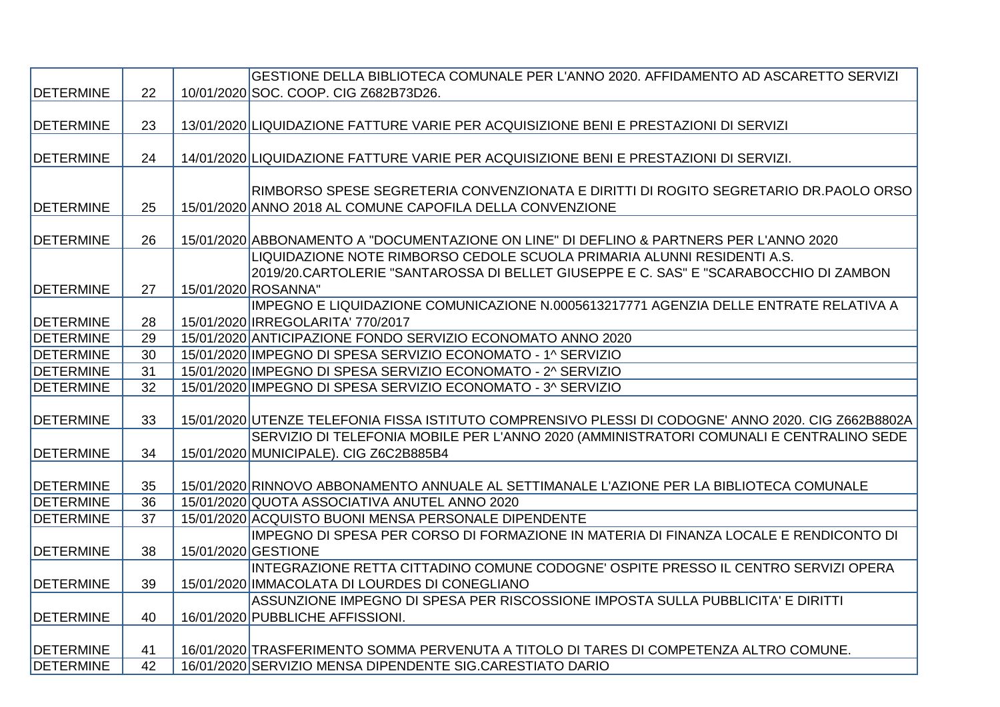|                  |    | GESTIONE DELLA BIBLIOTECA COMUNALE PER L'ANNO 2020. AFFIDAMENTO AD ASCARETTO SERVIZI                |
|------------------|----|-----------------------------------------------------------------------------------------------------|
| <b>DETERMINE</b> | 22 | 10/01/2020 SOC. COOP. CIG Z682B73D26.                                                               |
|                  |    |                                                                                                     |
| <b>DETERMINE</b> | 23 | 13/01/2020 LIQUIDAZIONE FATTURE VARIE PER ACQUISIZIONE BENI E PRESTAZIONI DI SERVIZI                |
|                  |    |                                                                                                     |
| <b>DETERMINE</b> | 24 | 14/01/2020 LIQUIDAZIONE FATTURE VARIE PER ACQUISIZIONE BENI E PRESTAZIONI DI SERVIZI.               |
|                  |    |                                                                                                     |
|                  |    | RIMBORSO SPESE SEGRETERIA CONVENZIONATA E DIRITTI DI ROGITO SEGRETARIO DR.PAOLO ORSO                |
| <b>DETERMINE</b> | 25 | 15/01/2020 ANNO 2018 AL COMUNE CAPOFILA DELLA CONVENZIONE                                           |
|                  |    |                                                                                                     |
| <b>DETERMINE</b> | 26 | 15/01/2020 ABBONAMENTO A "DOCUMENTAZIONE ON LINE" DI DEFLINO & PARTNERS PER L'ANNO 2020             |
|                  |    | LIQUIDAZIONE NOTE RIMBORSO CEDOLE SCUOLA PRIMARIA ALUNNI RESIDENTI A.S.                             |
|                  |    | 2019/20.CARTOLERIE "SANTAROSSA DI BELLET GIUSEPPE E C. SAS" E "SCARABOCCHIO DI ZAMBON               |
| <b>DETERMINE</b> | 27 | 15/01/2020 ROSANNA"                                                                                 |
|                  |    | IMPEGNO E LIQUIDAZIONE COMUNICAZIONE N.0005613217771 AGENZIA DELLE ENTRATE RELATIVA A               |
| <b>DETERMINE</b> | 28 | 15/01/2020 IRREGOLARITA' 770/2017                                                                   |
| <b>DETERMINE</b> | 29 | 15/01/2020 ANTICIPAZIONE FONDO SERVIZIO ECONOMATO ANNO 2020                                         |
| <b>DETERMINE</b> | 30 | 15/01/2020 IMPEGNO DI SPESA SERVIZIO ECONOMATO - 1^ SERVIZIO                                        |
| <b>DETERMINE</b> | 31 | 15/01/2020 IMPEGNO DI SPESA SERVIZIO ECONOMATO - 2^ SERVIZIO                                        |
| <b>DETERMINE</b> | 32 | 15/01/2020 IMPEGNO DI SPESA SERVIZIO ECONOMATO - 3^ SERVIZIO                                        |
|                  |    |                                                                                                     |
| <b>DETERMINE</b> | 33 | 15/01/2020 UTENZE TELEFONIA FISSA ISTITUTO COMPRENSIVO PLESSI DI CODOGNE' ANNO 2020. CIG Z662B8802A |
|                  |    | SERVIZIO DI TELEFONIA MOBILE PER L'ANNO 2020 (AMMINISTRATORI COMUNALI E CENTRALINO SEDE             |
| <b>DETERMINE</b> | 34 | 15/01/2020 MUNICIPALE). CIG Z6C2B885B4                                                              |
|                  |    |                                                                                                     |
| <b>DETERMINE</b> | 35 | 15/01/2020 RINNOVO ABBONAMENTO ANNUALE AL SETTIMANALE L'AZIONE PER LA BIBLIOTECA COMUNALE           |
| <b>DETERMINE</b> | 36 | 15/01/2020 QUOTA ASSOCIATIVA ANUTEL ANNO 2020                                                       |
| <b>DETERMINE</b> | 37 | 15/01/2020 ACQUISTO BUONI MENSA PERSONALE DIPENDENTE                                                |
|                  |    | IMPEGNO DI SPESA PER CORSO DI FORMAZIONE IN MATERIA DI FINANZA LOCALE E RENDICONTO DI               |
| <b>DETERMINE</b> | 38 | 15/01/2020 GESTIONE                                                                                 |
|                  |    | INTEGRAZIONE RETTA CITTADINO COMUNE CODOGNE' OSPITE PRESSO IL CENTRO SERVIZI OPERA                  |
| <b>DETERMINE</b> | 39 | 15/01/2020 IMMACOLATA DI LOURDES DI CONEGLIANO                                                      |
|                  |    | ASSUNZIONE IMPEGNO DI SPESA PER RISCOSSIONE IMPOSTA SULLA PUBBLICITA' E DIRITTI                     |
| <b>DETERMINE</b> | 40 | 16/01/2020 PUBBLICHE AFFISSIONI.                                                                    |
|                  |    |                                                                                                     |
| <b>DETERMINE</b> | 41 | 16/01/2020 TRASFERIMENTO SOMMA PERVENUTA A TITOLO DI TARES DI COMPETENZA ALTRO COMUNE.              |
| <b>DETERMINE</b> | 42 | 16/01/2020 SERVIZIO MENSA DIPENDENTE SIG.CARESTIATO DARIO                                           |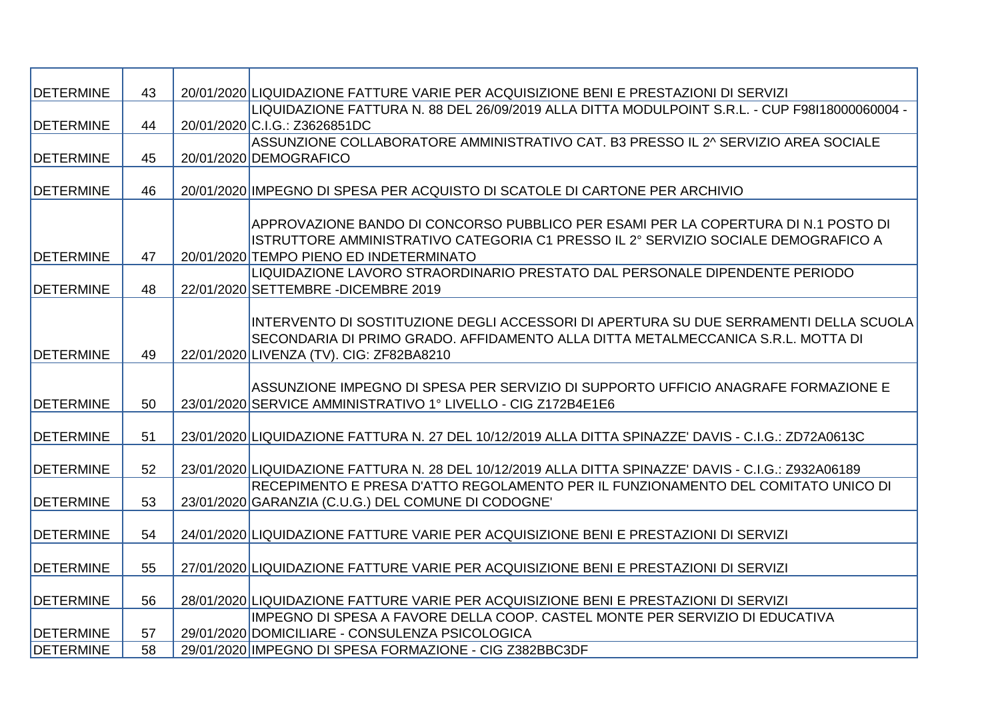| <b>DETERMINE</b> | 43 | 20/01/2020 LIQUIDAZIONE FATTURE VARIE PER ACQUISIZIONE BENI E PRESTAZIONI DI SERVIZI                 |
|------------------|----|------------------------------------------------------------------------------------------------------|
|                  |    | LIQUIDAZIONE FATTURA N. 88 DEL 26/09/2019 ALLA DITTA MODULPOINT S.R.L. - CUP F98I18000060004 -       |
| <b>DETERMINE</b> | 44 | 20/01/2020 C.I.G.: Z3626851DC                                                                        |
|                  |    | ASSUNZIONE COLLABORATORE AMMINISTRATIVO CAT. B3 PRESSO IL 2^ SERVIZIO AREA SOCIALE                   |
| <b>DETERMINE</b> | 45 | 20/01/2020 DEMOGRAFICO                                                                               |
|                  |    |                                                                                                      |
| <b>DETERMINE</b> | 46 | 20/01/2020 IMPEGNO DI SPESA PER ACQUISTO DI SCATOLE DI CARTONE PER ARCHIVIO                          |
|                  |    |                                                                                                      |
|                  |    | APPROVAZIONE BANDO DI CONCORSO PUBBLICO PER ESAMI PER LA COPERTURA DI N.1 POSTO DI                   |
|                  |    | ISTRUTTORE AMMINISTRATIVO CATEGORIA C1 PRESSO IL 2º SERVIZIO SOCIALE DEMOGRAFICO A                   |
| <b>DETERMINE</b> | 47 | 20/01/2020 TEMPO PIENO ED INDETERMINATO                                                              |
|                  |    | LIQUIDAZIONE LAVORO STRAORDINARIO PRESTATO DAL PERSONALE DIPENDENTE PERIODO                          |
| <b>DETERMINE</b> | 48 | 22/01/2020 SETTEMBRE - DICEMBRE 2019                                                                 |
|                  |    |                                                                                                      |
|                  |    | INTERVENTO DI SOSTITUZIONE DEGLI ACCESSORI DI APERTURA SU DUE SERRAMENTI DELLA SCUOLA                |
|                  |    | SECONDARIA DI PRIMO GRADO. AFFIDAMENTO ALLA DITTA METALMECCANICA S.R.L. MOTTA DI                     |
| <b>DETERMINE</b> | 49 | 22/01/2020 LIVENZA (TV). CIG: ZF82BA8210                                                             |
|                  |    |                                                                                                      |
|                  |    | ASSUNZIONE IMPEGNO DI SPESA PER SERVIZIO DI SUPPORTO UFFICIO ANAGRAFE FORMAZIONE E                   |
| <b>DETERMINE</b> | 50 | 23/01/2020 SERVICE AMMINISTRATIVO 1° LIVELLO - CIG Z172B4E1E6                                        |
|                  |    |                                                                                                      |
| <b>DETERMINE</b> | 51 | 23/01/2020 LIQUIDAZIONE FATTURA N. 27 DEL 10/12/2019 ALLA DITTA SPINAZZE' DAVIS - C.I.G.: ZD72A0613C |
| <b>DETERMINE</b> | 52 | 23/01/2020 LIQUIDAZIONE FATTURA N. 28 DEL 10/12/2019 ALLA DITTA SPINAZZE' DAVIS - C.I.G.: Z932A06189 |
|                  |    | IRECEPIMENTO E PRESA D'ATTO REGOLAMENTO PER IL FUNZIONAMENTO DEL COMITATO UNICO DI                   |
| <b>DETERMINE</b> | 53 | 23/01/2020 GARANZIA (C.U.G.) DEL COMUNE DI CODOGNE                                                   |
|                  |    |                                                                                                      |
| <b>DETERMINE</b> | 54 | 24/01/2020 LIQUIDAZIONE FATTURE VARIE PER ACQUISIZIONE BENI E PRESTAZIONI DI SERVIZI                 |
|                  |    |                                                                                                      |
| <b>DETERMINE</b> | 55 | 27/01/2020 LIQUIDAZIONE FATTURE VARIE PER ACQUISIZIONE BENI E PRESTAZIONI DI SERVIZI                 |
|                  |    |                                                                                                      |
| <b>DETERMINE</b> | 56 | 28/01/2020 LIQUIDAZIONE FATTURE VARIE PER ACQUISIZIONE BENI E PRESTAZIONI DI SERVIZI                 |
|                  |    | IMPEGNO DI SPESA A FAVORE DELLA COOP. CASTEL MONTE PER SERVIZIO DI EDUCATIVA                         |
| <b>DETERMINE</b> | 57 | 29/01/2020 DOMICILIARE - CONSULENZA PSICOLOGICA                                                      |
| <b>DETERMINE</b> | 58 | 29/01/2020 IMPEGNO DI SPESA FORMAZIONE - CIG Z382BBC3DF                                              |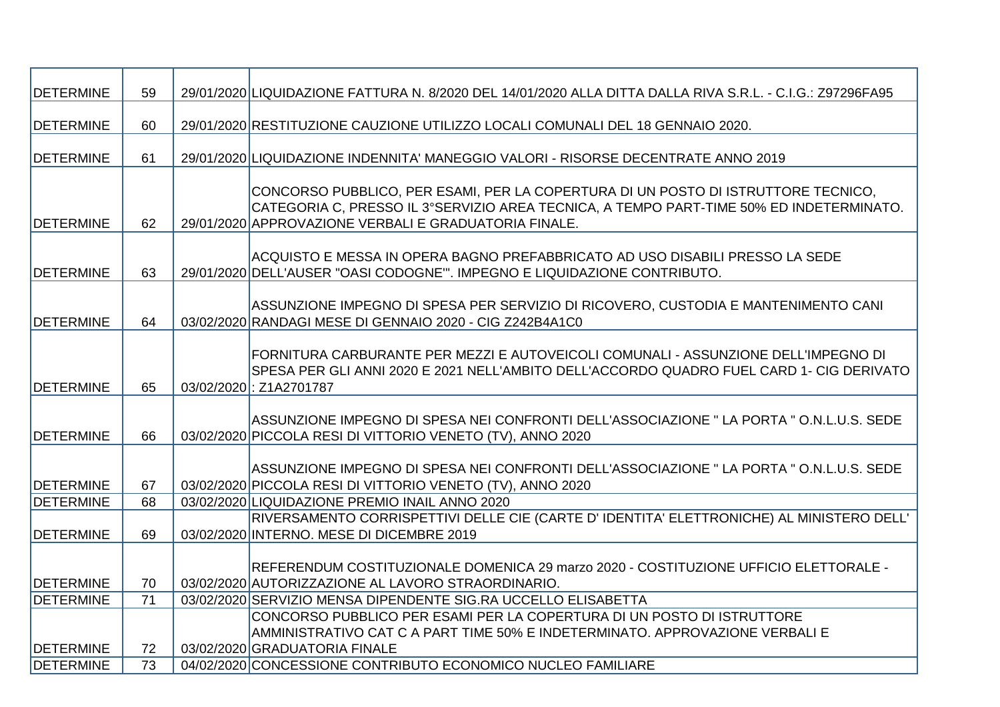| DETERMINE                     | 59                    | 29/01/2020 LIQUIDAZIONE FATTURA N. 8/2020 DEL 14/01/2020 ALLA DITTA DALLA RIVA S.R.L. - C.I.G.: Z97296FA95                                                                                                                            |
|-------------------------------|-----------------------|---------------------------------------------------------------------------------------------------------------------------------------------------------------------------------------------------------------------------------------|
|                               |                       |                                                                                                                                                                                                                                       |
| <b>DETERMINE</b>              | 60                    | 29/01/2020 RESTITUZIONE CAUZIONE UTILIZZO LOCALI COMUNALI DEL 18 GENNAIO 2020.                                                                                                                                                        |
| <b>DETERMINE</b>              | 61                    | 29/01/2020 LIQUIDAZIONE INDENNITA' MANEGGIO VALORI - RISORSE DECENTRATE ANNO 2019                                                                                                                                                     |
| <b>DETERMINE</b>              | 62                    | CONCORSO PUBBLICO, PER ESAMI, PER LA COPERTURA DI UN POSTO DI ISTRUTTORE TECNICO,<br>CATEGORIA C, PRESSO IL 3°SERVIZIO AREA TECNICA, A TEMPO PART-TIME 50% ED INDETERMINATO.<br>29/01/2020 APPROVAZIONE VERBALI E GRADUATORIA FINALE. |
| <b>DETERMINE</b>              | 63                    | ACQUISTO E MESSA IN OPERA BAGNO PREFABBRICATO AD USO DISABILI PRESSO LA SEDE<br>29/01/2020 DELL'AUSER "OASI CODOGNE". IMPEGNO E LIQUIDAZIONE CONTRIBUTO.                                                                              |
| <b>DETERMINE</b>              | 64                    | ASSUNZIONE IMPEGNO DI SPESA PER SERVIZIO DI RICOVERO, CUSTODIA E MANTENIMENTO CANI<br>03/02/2020 RANDAGI MESE DI GENNAIO 2020 - CIG Z242B4A1C0                                                                                        |
| DETERMINE                     | 65                    | FORNITURA CARBURANTE PER MEZZI E AUTOVEICOLI COMUNALI - ASSUNZIONE DELL'IMPEGNO DI<br>SPESA PER GLI ANNI 2020 E 2021 NELL'AMBITO DELL'ACCORDO QUADRO FUEL CARD 1- CIG DERIVATO<br>03/02/2020: Z1A2701787                              |
| <b>DETERMINE</b>              | 66                    | ASSUNZIONE IMPEGNO DI SPESA NEI CONFRONTI DELL'ASSOCIAZIONE " LA PORTA " O.N.L.U.S. SEDE<br>03/02/2020 PICCOLA RESI DI VITTORIO VENETO (TV), ANNO 2020                                                                                |
| <b>DETERMINE</b>              | 67                    | ASSUNZIONE IMPEGNO DI SPESA NEI CONFRONTI DELL'ASSOCIAZIONE " LA PORTA " O.N.L.U.S. SEDE<br>03/02/2020 PICCOLA RESI DI VITTORIO VENETO (TV), ANNO 2020                                                                                |
| DETERMINE                     | 68                    | 03/02/2020 LIQUIDAZIONE PREMIO INAIL ANNO 2020                                                                                                                                                                                        |
| <b>DETERMINE</b>              | 69                    | RIVERSAMENTO CORRISPETTIVI DELLE CIE (CARTE D' IDENTITA' ELETTRONICHE) AL MINISTERO DELL'<br>03/02/2020 INTERNO. MESE DI DICEMBRE 2019                                                                                                |
| <b>DETERMINE</b>              | 70                    | REFERENDUM COSTITUZIONALE DOMENICA 29 marzo 2020 - COSTITUZIONE UFFICIO ELETTORALE -<br>03/02/2020 AUTORIZZAZIONE AL LAVORO STRAORDINARIO.                                                                                            |
| DETERMINE                     | 71                    | 03/02/2020 SERVIZIO MENSA DIPENDENTE SIG.RA UCCELLO ELISABETTA                                                                                                                                                                        |
|                               |                       | CONCORSO PUBBLICO PER ESAMI PER LA COPERTURA DI UN POSTO DI ISTRUTTORE<br>AMMINISTRATIVO CAT C A PART TIME 50% E INDETERMINATO. APPROVAZIONE VERBALI E<br>03/02/2020 GRADUATORIA FINALE                                               |
| <b>DETERMINE</b><br>DETERMINE | 72<br>$\overline{73}$ | 04/02/2020 CONCESSIONE CONTRIBUTO ECONOMICO NUCLEO FAMILIARE                                                                                                                                                                          |
|                               |                       |                                                                                                                                                                                                                                       |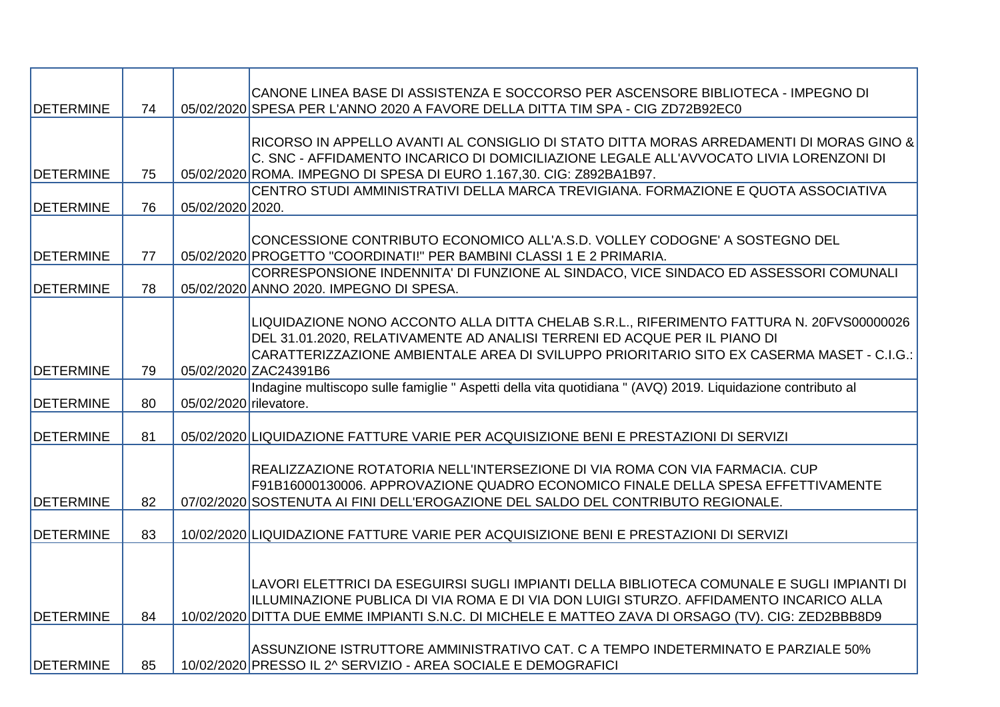| <b>DETERMINE</b>  | 74 |                        | CANONE LINEA BASE DI ASSISTENZA E SOCCORSO PER ASCENSORE BIBLIOTECA - IMPEGNO DI<br>05/02/2020 SPESA PER L'ANNO 2020 A FAVORE DELLA DITTA TIM SPA - CIG ZD72B92EC0 |
|-------------------|----|------------------------|--------------------------------------------------------------------------------------------------------------------------------------------------------------------|
|                   |    |                        |                                                                                                                                                                    |
|                   |    |                        | RICORSO IN APPELLO AVANTI AL CONSIGLIO DI STATO DITTA MORAS ARREDAMENTI DI MORAS GINO &                                                                            |
|                   |    |                        | C. SNC - AFFIDAMENTO INCARICO DI DOMICILIAZIONE LEGALE ALL'AVVOCATO LIVIA LORENZONI DI                                                                             |
| <b>DETERMINE</b>  | 75 |                        | 05/02/2020 ROMA. IMPEGNO DI SPESA DI EURO 1.167,30. CIG: Z892BA1B97.                                                                                               |
|                   |    |                        | CENTRO STUDI AMMINISTRATIVI DELLA MARCA TREVIGIANA. FORMAZIONE E QUOTA ASSOCIATIVA                                                                                 |
| <b>DETERMINE</b>  | 76 | 05/02/2020 2020.       |                                                                                                                                                                    |
|                   |    |                        |                                                                                                                                                                    |
|                   |    |                        | CONCESSIONE CONTRIBUTO ECONOMICO ALL'A.S.D. VOLLEY CODOGNE' A SOSTEGNO DEL                                                                                         |
| <b>DETERMINE</b>  | 77 |                        | 05/02/2020 PROGETTO "COORDINATI!" PER BAMBINI CLASSI 1 E 2 PRIMARIA.<br>CORRESPONSIONE INDENNITA' DI FUNZIONE AL SINDACO, VICE SINDACO ED ASSESSORI COMUNALI       |
| <b>DETERMINE</b>  | 78 |                        | 05/02/2020 ANNO 2020. IMPEGNO DI SPESA.                                                                                                                            |
|                   |    |                        |                                                                                                                                                                    |
|                   |    |                        | LIQUIDAZIONE NONO ACCONTO ALLA DITTA CHELAB S.R.L., RIFERIMENTO FATTURA N. 20FVS00000026                                                                           |
|                   |    |                        | DEL 31.01.2020, RELATIVAMENTE AD ANALISI TERRENI ED ACQUE PER IL PIANO DI                                                                                          |
|                   |    |                        | CARATTERIZZAZIONE AMBIENTALE AREA DI SVILUPPO PRIORITARIO SITO EX CASERMA MASET - C.I.G.:                                                                          |
| <b>DETERMINE</b>  | 79 |                        | 05/02/2020 ZAC24391B6                                                                                                                                              |
|                   |    |                        | Indagine multiscopo sulle famiglie " Aspetti della vita quotidiana " (AVQ) 2019. Liquidazione contributo al                                                        |
| <b>IDETERMINE</b> | 80 | 05/02/2020 rilevatore. |                                                                                                                                                                    |
| <b>DETERMINE</b>  | 81 |                        | 05/02/2020 LIQUIDAZIONE FATTURE VARIE PER ACQUISIZIONE BENI E PRESTAZIONI DI SERVIZI                                                                               |
|                   |    |                        |                                                                                                                                                                    |
|                   |    |                        | REALIZZAZIONE ROTATORIA NELL'INTERSEZIONE DI VIA ROMA CON VIA FARMACIA. CUP                                                                                        |
|                   |    |                        | F91B16000130006. APPROVAZIONE QUADRO ECONOMICO FINALE DELLA SPESA EFFETTIVAMENTE                                                                                   |
| <b>DETERMINE</b>  | 82 |                        | 07/02/2020 SOSTENUTA AI FINI DELL'EROGAZIONE DEL SALDO DEL CONTRIBUTO REGIONALE.                                                                                   |
|                   |    |                        |                                                                                                                                                                    |
| <b>DETERMINE</b>  | 83 |                        | 10/02/2020 LIQUIDAZIONE FATTURE VARIE PER ACQUISIZIONE BENI E PRESTAZIONI DI SERVIZI                                                                               |
|                   |    |                        |                                                                                                                                                                    |
|                   |    |                        | LAVORI ELETTRICI DA ESEGUIRSI SUGLI IMPIANTI DELLA BIBLIOTECA COMUNALE E SUGLI IMPIANTI DI                                                                         |
|                   |    |                        | ILLUMINAZIONE PUBLICA DI VIA ROMA E DI VIA DON LUIGI STURZO. AFFIDAMENTO INCARICO ALLA                                                                             |
| <b>DETERMINE</b>  | 84 |                        | 10/02/2020 DITTA DUE EMME IMPIANTI S.N.C. DI MICHELE E MATTEO ZAVA DI ORSAGO (TV). CIG: ZED2BBB8D9                                                                 |
|                   |    |                        |                                                                                                                                                                    |
|                   |    |                        | ASSUNZIONE ISTRUTTORE AMMINISTRATIVO CAT. C A TEMPO INDETERMINATO E PARZIALE 50%                                                                                   |
| <b>DETERMINE</b>  | 85 |                        | 10/02/2020 PRESSO IL 2^ SERVIZIO - AREA SOCIALE E DEMOGRAFICI                                                                                                      |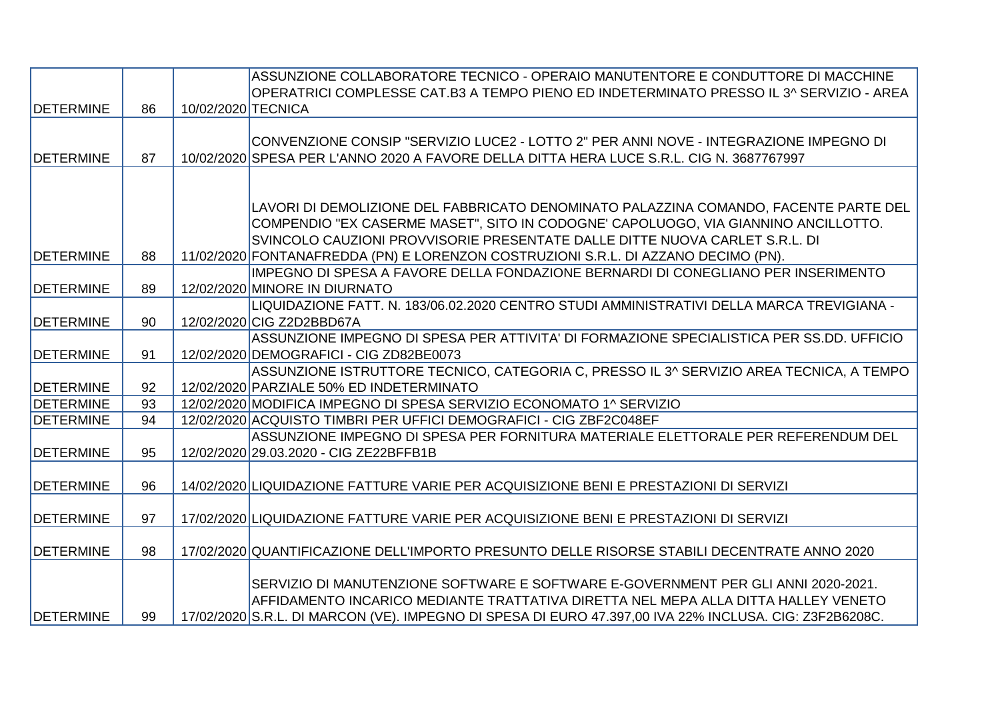|                   |    |                    | ASSUNZIONE COLLABORATORE TECNICO - OPERAIO MANUTENTORE E CONDUTTORE DI MACCHINE                        |
|-------------------|----|--------------------|--------------------------------------------------------------------------------------------------------|
|                   |    |                    | OPERATRICI COMPLESSE CAT.B3 A TEMPO PIENO ED INDETERMINATO PRESSO IL 3^ SERVIZIO - AREA                |
| <b>DETERMINE</b>  | 86 | 10/02/2020 TECNICA |                                                                                                        |
|                   |    |                    |                                                                                                        |
|                   |    |                    | CONVENZIONE CONSIP "SERVIZIO LUCE2 - LOTTO 2" PER ANNI NOVE - INTEGRAZIONE IMPEGNO DI                  |
| <b>IDETERMINE</b> | 87 |                    | 10/02/2020 SPESA PER L'ANNO 2020 A FAVORE DELLA DITTA HERA LUCE S.R.L. CIG N. 3687767997               |
|                   |    |                    |                                                                                                        |
|                   |    |                    |                                                                                                        |
|                   |    |                    | LAVORI DI DEMOLIZIONE DEL FABBRICATO DENOMINATO PALAZZINA COMANDO, FACENTE PARTE DEL                   |
|                   |    |                    | COMPENDIO "EX CASERME MASET", SITO IN CODOGNE' CAPOLUOGO, VIA GIANNINO ANCILLOTTO.                     |
|                   |    |                    | SVINCOLO CAUZIONI PROVVISORIE PRESENTATE DALLE DITTE NUOVA CARLET S.R.L. DI                            |
| <b>IDETERMINE</b> | 88 |                    | 11/02/2020 FONTANAFREDDA (PN) E LORENZON COSTRUZIONI S.R.L. DI AZZANO DECIMO (PN).                     |
|                   |    |                    | IMPEGNO DI SPESA A FAVORE DELLA FONDAZIONE BERNARDI DI CONEGLIANO PER INSERIMENTO                      |
| <b>DETERMINE</b>  | 89 |                    | 12/02/2020 MINORE IN DIURNATO                                                                          |
|                   |    |                    | LIQUIDAZIONE FATT. N. 183/06.02.2020 CENTRO STUDI AMMINISTRATIVI DELLA MARCA TREVIGIANA -              |
| <b>DETERMINE</b>  | 90 |                    | 12/02/2020 CIG Z2D2BBD67A                                                                              |
|                   |    |                    | ASSUNZIONE IMPEGNO DI SPESA PER ATTIVITA' DI FORMAZIONE SPECIALISTICA PER SS.DD. UFFICIO               |
| <b>DETERMINE</b>  | 91 |                    | 12/02/2020 DEMOGRAFICI - CIG ZD82BE0073                                                                |
|                   |    |                    | ASSUNZIONE ISTRUTTORE TECNICO, CATEGORIA C, PRESSO IL 3^ SERVIZIO AREA TECNICA, A TEMPO                |
| <b>DETERMINE</b>  | 92 |                    | 12/02/2020 PARZIALE 50% ED INDETERMINATO                                                               |
| <b>DETERMINE</b>  | 93 |                    | 12/02/2020 MODIFICA IMPEGNO DI SPESA SERVIZIO ECONOMATO 1^ SERVIZIO                                    |
| <b>DETERMINE</b>  | 94 |                    | 12/02/2020 ACQUISTO TIMBRI PER UFFICI DEMOGRAFICI - CIG ZBF2C048EF                                     |
|                   |    |                    | ASSUNZIONE IMPEGNO DI SPESA PER FORNITURA MATERIALE ELETTORALE PER REFERENDUM DEL                      |
| <b>DETERMINE</b>  | 95 |                    | 12/02/2020 29.03.2020 - CIG ZE22BFFB1B                                                                 |
|                   |    |                    |                                                                                                        |
| <b>DETERMINE</b>  | 96 |                    | 14/02/2020 LIQUIDAZIONE FATTURE VARIE PER ACQUISIZIONE BENI E PRESTAZIONI DI SERVIZI                   |
|                   |    |                    |                                                                                                        |
| <b>IDETERMINE</b> | 97 |                    | 17/02/2020 LIQUIDAZIONE FATTURE VARIE PER ACQUISIZIONE BENI E PRESTAZIONI DI SERVIZI                   |
|                   |    |                    |                                                                                                        |
| <b>DETERMINE</b>  | 98 |                    | 17/02/2020 QUANTIFICAZIONE DELL'IMPORTO PRESUNTO DELLE RISORSE STABILI DECENTRATE ANNO 2020            |
|                   |    |                    |                                                                                                        |
|                   |    |                    | SERVIZIO DI MANUTENZIONE SOFTWARE E SOFTWARE E-GOVERNMENT PER GLI ANNI 2020-2021.                      |
|                   |    |                    | AFFIDAMENTO INCARICO MEDIANTE TRATTATIVA DIRETTA NEL MEPA ALLA DITTA HALLEY VENETO                     |
| <b>DETERMINE</b>  | 99 |                    | 17/02/2020 S.R.L. DI MARCON (VE). IMPEGNO DI SPESA DI EURO 47.397,00 IVA 22% INCLUSA. CIG: Z3F2B6208C. |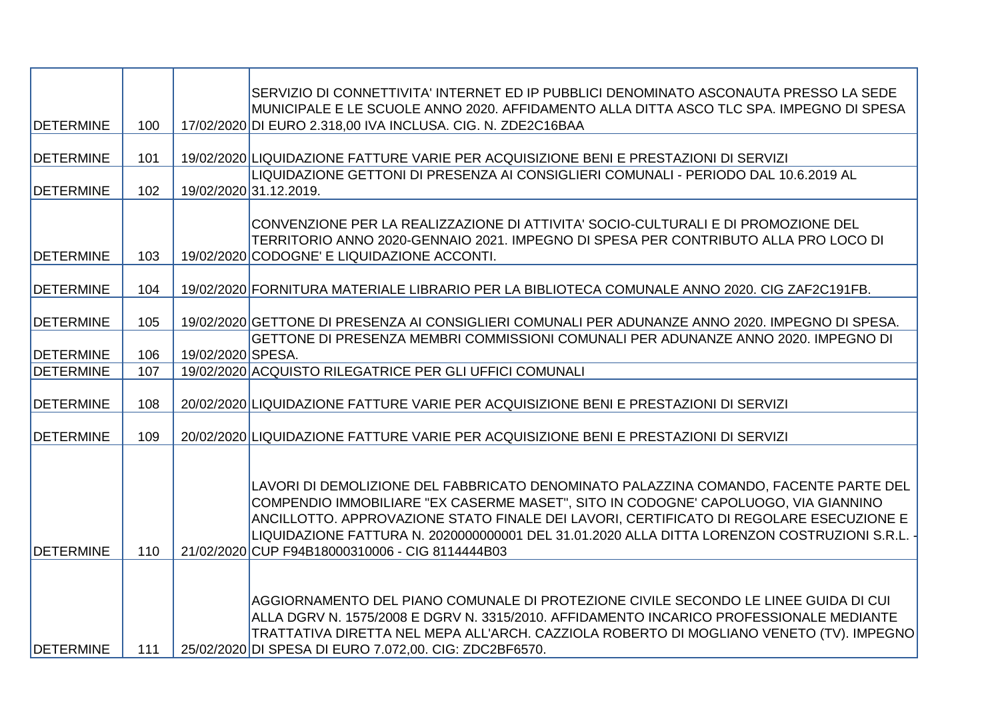|                   |     |                   | SERVIZIO DI CONNETTIVITA' INTERNET ED IP PUBBLICI DENOMINATO ASCONAUTA PRESSO LA SEDE            |
|-------------------|-----|-------------------|--------------------------------------------------------------------------------------------------|
|                   |     |                   | MUNICIPALE E LE SCUOLE ANNO 2020. AFFIDAMENTO ALLA DITTA ASCO TLC SPA. IMPEGNO DI SPESA          |
| <b>DETERMINE</b>  | 100 |                   | 17/02/2020 DI EURO 2.318,00 IVA INCLUSA. CIG. N. ZDE2C16BAA                                      |
| <b>DETERMINE</b>  | 101 |                   | 19/02/2020 LIQUIDAZIONE FATTURE VARIE PER ACQUISIZIONE BENI E PRESTAZIONI DI SERVIZI             |
|                   |     |                   | LIQUIDAZIONE GETTONI DI PRESENZA AI CONSIGLIERI COMUNALI - PERIODO DAL 10.6.2019 AL              |
| <b>DETERMINE</b>  | 102 |                   | 19/02/2020 31.12.2019.                                                                           |
|                   |     |                   |                                                                                                  |
|                   |     |                   | CONVENZIONE PER LA REALIZZAZIONE DI ATTIVITA' SOCIO-CULTURALI E DI PROMOZIONE DEL                |
|                   |     |                   | TERRITORIO ANNO 2020-GENNAIO 2021. IMPEGNO DI SPESA PER CONTRIBUTO ALLA PRO LOCO DI              |
| <b>IDETERMINE</b> | 103 |                   | 19/02/2020 CODOGNE' E LIQUIDAZIONE ACCONTI.                                                      |
| <b>DETERMINE</b>  | 104 |                   | 19/02/2020 FORNITURA MATERIALE LIBRARIO PER LA BIBLIOTECA COMUNALE ANNO 2020. CIG ZAF2C191FB.    |
|                   |     |                   |                                                                                                  |
| <b>DETERMINE</b>  | 105 |                   | 19/02/2020 GETTONE DI PRESENZA AI CONSIGLIERI COMUNALI PER ADUNANZE ANNO 2020. IMPEGNO DI SPESA. |
|                   |     |                   | GETTONE DI PRESENZA MEMBRI COMMISSIONI COMUNALI PER ADUNANZE ANNO 2020. IMPEGNO DI               |
| <b>DETERMINE</b>  | 106 | 19/02/2020 SPESA. |                                                                                                  |
| <b>DETERMINE</b>  | 107 |                   | 19/02/2020 ACQUISTO RILEGATRICE PER GLI UFFICI COMUNALI                                          |
|                   |     |                   |                                                                                                  |
| <b>DETERMINE</b>  | 108 |                   | 20/02/2020 LIQUIDAZIONE FATTURE VARIE PER ACQUISIZIONE BENI E PRESTAZIONI DI SERVIZI             |
| <b>DETERMINE</b>  | 109 |                   | 20/02/2020 LIQUIDAZIONE FATTURE VARIE PER ACQUISIZIONE BENI E PRESTAZIONI DI SERVIZI             |
|                   |     |                   |                                                                                                  |
|                   |     |                   |                                                                                                  |
|                   |     |                   | LAVORI DI DEMOLIZIONE DEL FABBRICATO DENOMINATO PALAZZINA COMANDO, FACENTE PARTE DEL             |
|                   |     |                   | COMPENDIO IMMOBILIARE "EX CASERME MASET", SITO IN CODOGNE' CAPOLUOGO, VIA GIANNINO               |
|                   |     |                   | ANCILLOTTO. APPROVAZIONE STATO FINALE DEI LAVORI, CERTIFICATO DI REGOLARE ESECUZIONE E           |
|                   |     |                   | LIQUIDAZIONE FATTURA N. 2020000000001 DEL 31.01.2020 ALLA DITTA LORENZON COSTRUZIONI S.R.L.      |
| <b>DETERMINE</b>  | 110 |                   | 21/02/2020 CUP F94B18000310006 - CIG 8114444B03                                                  |
|                   |     |                   |                                                                                                  |
|                   |     |                   |                                                                                                  |
|                   |     |                   | AGGIORNAMENTO DEL PIANO COMUNALE DI PROTEZIONE CIVILE SECONDO LE LINEE GUIDA DI CUI              |
|                   |     |                   | ALLA DGRV N. 1575/2008 E DGRV N. 3315/2010. AFFIDAMENTO INCARICO PROFESSIONALE MEDIANTE          |
|                   |     |                   | TRATTATIVA DIRETTA NEL MEPA ALL'ARCH. CAZZIOLA ROBERTO DI MOGLIANO VENETO (TV). IMPEGNO          |
| <b>DETERMINE</b>  | 111 |                   | 25/02/2020 DI SPESA DI EURO 7.072,00. CIG: ZDC2BF6570.                                           |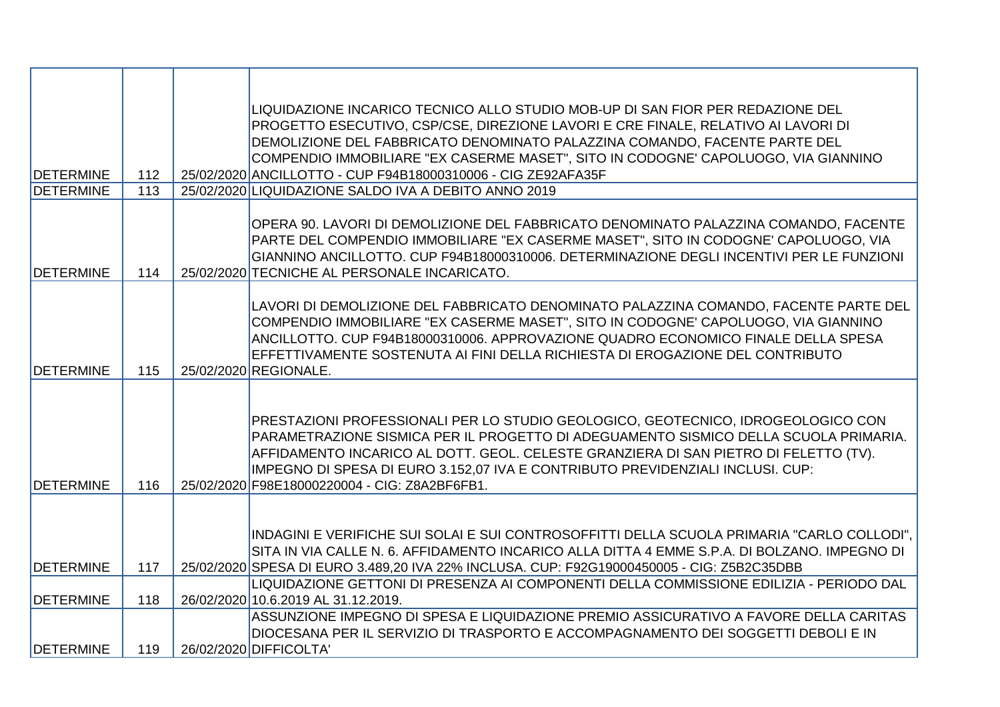| <b>DETERMINE</b><br><b>DETERMINE</b> | 112<br>113 | LIQUIDAZIONE INCARICO TECNICO ALLO STUDIO MOB-UP DI SAN FIOR PER REDAZIONE DEL<br>PROGETTO ESECUTIVO, CSP/CSE, DIREZIONE LAVORI E CRE FINALE, RELATIVO AI LAVORI DI<br>DEMOLIZIONE DEL FABBRICATO DENOMINATO PALAZZINA COMANDO, FACENTE PARTE DEL<br>COMPENDIO IMMOBILIARE "EX CASERME MASET", SITO IN CODOGNE' CAPOLUOGO, VIA GIANNINO<br>25/02/2020 ANCILLOTTO - CUP F94B18000310006 - CIG ZE92AFA35F<br>25/02/2020 LIQUIDAZIONE SALDO IVA A DEBITO ANNO 2019 |
|--------------------------------------|------------|-----------------------------------------------------------------------------------------------------------------------------------------------------------------------------------------------------------------------------------------------------------------------------------------------------------------------------------------------------------------------------------------------------------------------------------------------------------------|
|                                      |            |                                                                                                                                                                                                                                                                                                                                                                                                                                                                 |
| <b>DETERMINE</b>                     | 114        | OPERA 90. LAVORI DI DEMOLIZIONE DEL FABBRICATO DENOMINATO PALAZZINA COMANDO, FACENTE<br>PARTE DEL COMPENDIO IMMOBILIARE "EX CASERME MASET", SITO IN CODOGNE' CAPOLUOGO, VIA<br>GIANNINO ANCILLOTTO. CUP F94B18000310006. DETERMINAZIONE DEGLI INCENTIVI PER LE FUNZIONI<br>25/02/2020 TECNICHE AL PERSONALE INCARICATO.                                                                                                                                         |
| <b>DETERMINE</b>                     | 115        | LAVORI DI DEMOLIZIONE DEL FABBRICATO DENOMINATO PALAZZINA COMANDO, FACENTE PARTE DEL<br>COMPENDIO IMMOBILIARE "EX CASERME MASET", SITO IN CODOGNE' CAPOLUOGO, VIA GIANNINO<br>ANCILLOTTO. CUP F94B18000310006. APPROVAZIONE QUADRO ECONOMICO FINALE DELLA SPESA<br>EFFETTIVAMENTE SOSTENUTA AI FINI DELLA RICHIESTA DI EROGAZIONE DEL CONTRIBUTO<br>25/02/2020 REGIONALE.                                                                                       |
| <b>DETERMINE</b>                     | 116        | PRESTAZIONI PROFESSIONALI PER LO STUDIO GEOLOGICO, GEOTECNICO, IDROGEOLOGICO CON<br>PARAMETRAZIONE SISMICA PER IL PROGETTO DI ADEGUAMENTO SISMICO DELLA SCUOLA PRIMARIA.<br>AFFIDAMENTO INCARICO AL DOTT. GEOL. CELESTE GRANZIERA DI SAN PIETRO DI FELETTO (TV).<br>IMPEGNO DI SPESA DI EURO 3.152,07 IVA E CONTRIBUTO PREVIDENZIALI INCLUSI. CUP:<br>25/02/2020 F98E18000220004 - CIG: Z8A2BF6FB1.                                                             |
|                                      |            | INDAGINI E VERIFICHE SUI SOLAI E SUI CONTROSOFFITTI DELLA SCUOLA PRIMARIA "CARLO COLLODI",<br>SITA IN VIA CALLE N. 6. AFFIDAMENTO INCARICO ALLA DITTA 4 EMME S.P.A. DI BOLZANO. IMPEGNO DI                                                                                                                                                                                                                                                                      |
| <b>DETERMINE</b>                     | 117        | 25/02/2020 SPESA DI EURO 3.489,20 IVA 22% INCLUSA. CUP: F92G19000450005 - CIG: Z5B2C35DBB<br>LIQUIDAZIONE GETTONI DI PRESENZA AI COMPONENTI DELLA COMMISSIONE EDILIZIA - PERIODO DAL                                                                                                                                                                                                                                                                            |
| <b>DETERMINE</b>                     | 118        | 26/02/2020 10.6.2019 AL 31.12.2019.                                                                                                                                                                                                                                                                                                                                                                                                                             |
| <b>DETERMINE</b>                     | 119        | ASSUNZIONE IMPEGNO DI SPESA E LIQUIDAZIONE PREMIO ASSICURATIVO A FAVORE DELLA CARITAS<br>DIOCESANA PER IL SERVIZIO DI TRASPORTO E ACCOMPAGNAMENTO DEI SOGGETTI DEBOLI E IN<br>26/02/2020 DIFFICOLTA'                                                                                                                                                                                                                                                            |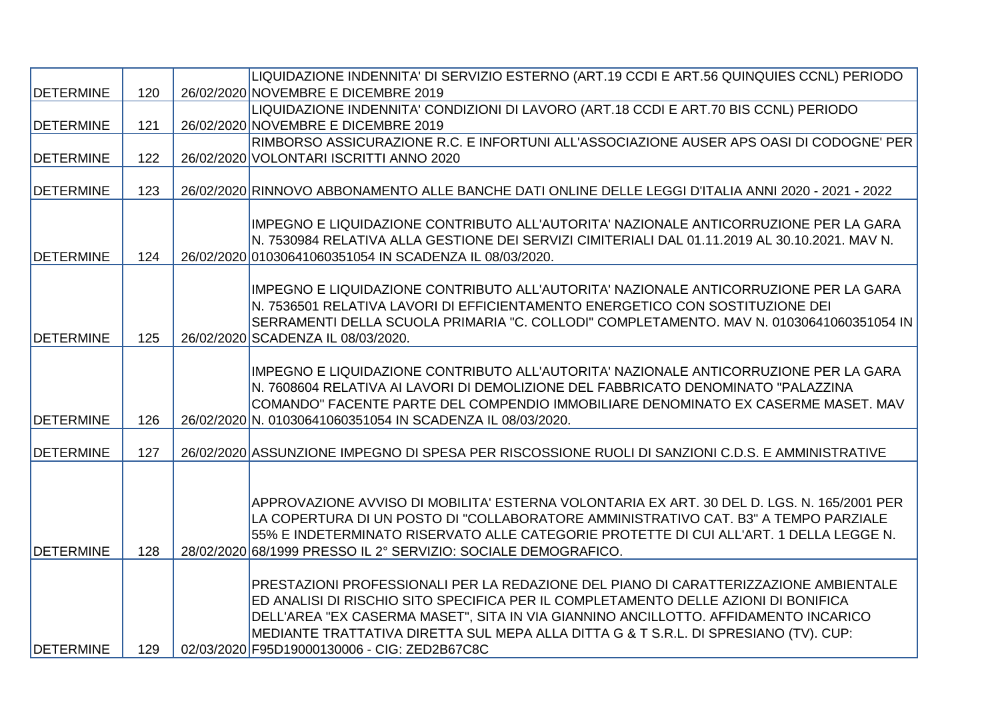|                  |     | LIQUIDAZIONE INDENNITA' DI SERVIZIO ESTERNO (ART.19 CCDI E ART.56 QUINQUIES CCNL) PERIODO           |
|------------------|-----|-----------------------------------------------------------------------------------------------------|
| <b>DETERMINE</b> | 120 | 26/02/2020 NOVEMBRE E DICEMBRE 2019                                                                 |
|                  |     | LIQUIDAZIONE INDENNITA' CONDIZIONI DI LAVORO (ART.18 CCDI E ART.70 BIS CCNL) PERIODO                |
| <b>DETERMINE</b> | 121 | 26/02/2020 NOVEMBRE E DICEMBRE 2019                                                                 |
|                  |     | RIMBORSO ASSICURAZIONE R.C. E INFORTUNI ALL'ASSOCIAZIONE AUSER APS OASI DI CODOGNE' PER             |
| <b>DETERMINE</b> | 122 | 26/02/2020 VOLONTARI ISCRITTI ANNO 2020                                                             |
|                  |     |                                                                                                     |
| <b>DETERMINE</b> | 123 | 26/02/2020 RINNOVO ABBONAMENTO ALLE BANCHE DATI ONLINE DELLE LEGGI D'ITALIA ANNI 2020 - 2021 - 2022 |
|                  |     |                                                                                                     |
|                  |     | IMPEGNO E LIQUIDAZIONE CONTRIBUTO ALL'AUTORITA' NAZIONALE ANTICORRUZIONE PER LA GARA                |
|                  |     | N. 7530984 RELATIVA ALLA GESTIONE DEI SERVIZI CIMITERIALI DAL 01.11.2019 AL 30.10.2021. MAV N.      |
| <b>DETERMINE</b> | 124 | 26/02/2020 01030641060351054 IN SCADENZA IL 08/03/2020.                                             |
|                  |     |                                                                                                     |
|                  |     | IMPEGNO E LIQUIDAZIONE CONTRIBUTO ALL'AUTORITA' NAZIONALE ANTICORRUZIONE PER LA GARA                |
|                  |     | N. 7536501 RELATIVA LAVORI DI EFFICIENTAMENTO ENERGETICO CON SOSTITUZIONE DEI                       |
|                  |     | SERRAMENTI DELLA SCUOLA PRIMARIA "C. COLLODI" COMPLETAMENTO. MAV N. 01030641060351054 IN            |
| <b>DETERMINE</b> | 125 | 26/02/2020 SCADENZA IL 08/03/2020.                                                                  |
|                  |     | IMPEGNO E LIQUIDAZIONE CONTRIBUTO ALL'AUTORITA' NAZIONALE ANTICORRUZIONE PER LA GARA                |
|                  |     | N. 7608604 RELATIVA AI LAVORI DI DEMOLIZIONE DEL FABBRICATO DENOMINATO "PALAZZINA                   |
|                  |     | COMANDO" FACENTE PARTE DEL COMPENDIO IMMOBILIARE DENOMINATO EX CASERME MASET. MAV                   |
| <b>DETERMINE</b> | 126 | 26/02/2020 N. 01030641060351054 IN SCADENZA IL 08/03/2020.                                          |
|                  |     |                                                                                                     |
| <b>DETERMINE</b> | 127 | 26/02/2020 ASSUNZIONE IMPEGNO DI SPESA PER RISCOSSIONE RUOLI DI SANZIONI C.D.S. E AMMINISTRATIVE    |
|                  |     |                                                                                                     |
|                  |     |                                                                                                     |
|                  |     | APPROVAZIONE AVVISO DI MOBILITA' ESTERNA VOLONTARIA EX ART. 30 DEL D. LGS. N. 165/2001 PER          |
|                  |     | LA COPERTURA DI UN POSTO DI "COLLABORATORE AMMINISTRATIVO CAT. B3" A TEMPO PARZIALE                 |
|                  |     | 55% E INDETERMINATO RISERVATO ALLE CATEGORIE PROTETTE DI CUI ALL'ART. 1 DELLA LEGGE N.              |
| <b>DETERMINE</b> | 128 | 28/02/2020 68/1999 PRESSO IL 2° SERVIZIO: SOCIALE DEMOGRAFICO.                                      |
|                  |     |                                                                                                     |
|                  |     | PRESTAZIONI PROFESSIONALI PER LA REDAZIONE DEL PIANO DI CARATTERIZZAZIONE AMBIENTALE                |
|                  |     | ED ANALISI DI RISCHIO SITO SPECIFICA PER IL COMPLETAMENTO DELLE AZIONI DI BONIFICA                  |
|                  |     | DELL'AREA "EX CASERMA MASET", SITA IN VIA GIANNINO ANCILLOTTO. AFFIDAMENTO INCARICO                 |
|                  |     | MEDIANTE TRATTATIVA DIRETTA SUL MEPA ALLA DITTA G & T S.R.L. DI SPRESIANO (TV). CUP:                |
| <b>DETERMINE</b> | 129 | 02/03/2020 F95D19000130006 - CIG: ZED2B67C8C                                                        |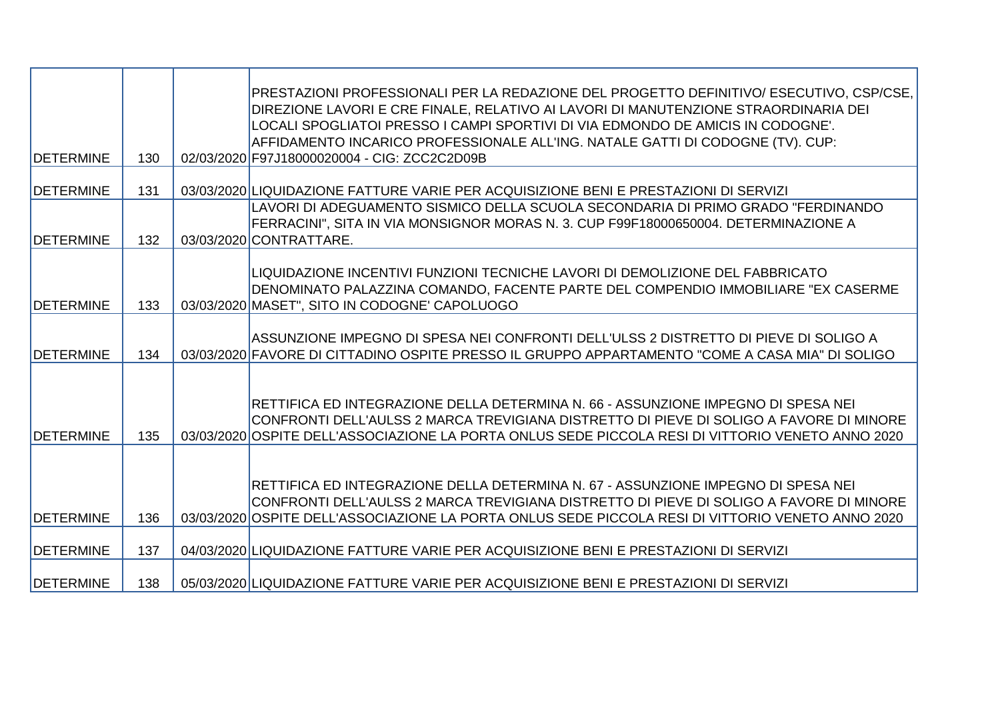| <b>DETERMINE</b>  | 130 | PRESTAZIONI PROFESSIONALI PER LA REDAZIONE DEL PROGETTO DEFINITIVO/ ESECUTIVO, CSP/CSE,<br>DIREZIONE LAVORI E CRE FINALE, RELATIVO AI LAVORI DI MANUTENZIONE STRAORDINARIA DEI<br>LOCALI SPOGLIATOI PRESSO I CAMPI SPORTIVI DI VIA EDMONDO DE AMICIS IN CODOGNE'.<br>AFFIDAMENTO INCARICO PROFESSIONALE ALL'ING. NATALE GATTI DI CODOGNE (TV). CUP:<br>02/03/2020 F97J18000020004 - CIG: ZCC2C2D09B |
|-------------------|-----|-----------------------------------------------------------------------------------------------------------------------------------------------------------------------------------------------------------------------------------------------------------------------------------------------------------------------------------------------------------------------------------------------------|
| <b>IDETERMINE</b> | 131 | 03/03/2020 LIQUIDAZIONE FATTURE VARIE PER ACQUISIZIONE BENI E PRESTAZIONI DI SERVIZI                                                                                                                                                                                                                                                                                                                |
| <b>DETERMINE</b>  | 132 | LAVORI DI ADEGUAMENTO SISMICO DELLA SCUOLA SECONDARIA DI PRIMO GRADO "FERDINANDO<br>FERRACINI", SITA IN VIA MONSIGNOR MORAS N. 3. CUP F99F18000650004. DETERMINAZIONE A<br>03/03/2020 CONTRATTARE.                                                                                                                                                                                                  |
| <b>DETERMINE</b>  | 133 | LIQUIDAZIONE INCENTIVI FUNZIONI TECNICHE LAVORI DI DEMOLIZIONE DEL FABBRICATO<br>DENOMINATO PALAZZINA COMANDO, FACENTE PARTE DEL COMPENDIO IMMOBILIARE "EX CASERME<br>03/03/2020 MASET", SITO IN CODOGNE' CAPOLUOGO                                                                                                                                                                                 |
| <b>DETERMINE</b>  | 134 | ASSUNZIONE IMPEGNO DI SPESA NEI CONFRONTI DELL'ULSS 2 DISTRETTO DI PIEVE DI SOLIGO A<br>03/03/2020 FAVORE DI CITTADINO OSPITE PRESSO IL GRUPPO APPARTAMENTO "COME A CASA MIA" DI SOLIGO                                                                                                                                                                                                             |
| <b>DETERMINE</b>  | 135 | RETTIFICA ED INTEGRAZIONE DELLA DETERMINA N. 66 - ASSUNZIONE IMPEGNO DI SPESA NEI<br>CONFRONTI DELL'AULSS 2 MARCA TREVIGIANA DISTRETTO DI PIEVE DI SOLIGO A FAVORE DI MINORE<br>03/03/2020 OSPITE DELL'ASSOCIAZIONE LA PORTA ONLUS SEDE PICCOLA RESI DI VITTORIO VENETO ANNO 2020                                                                                                                   |
| <b>DETERMINE</b>  | 136 | RETTIFICA ED INTEGRAZIONE DELLA DETERMINA N. 67 - ASSUNZIONE IMPEGNO DI SPESA NEI<br>CONFRONTI DELL'AULSS 2 MARCA TREVIGIANA DISTRETTO DI PIEVE DI SOLIGO A FAVORE DI MINORE<br>03/03/2020 OSPITE DELL'ASSOCIAZIONE LA PORTA ONLUS SEDE PICCOLA RESI DI VITTORIO VENETO ANNO 2020                                                                                                                   |
| <b>DETERMINE</b>  | 137 | 04/03/2020 LIQUIDAZIONE FATTURE VARIE PER ACQUISIZIONE BENI E PRESTAZIONI DI SERVIZI                                                                                                                                                                                                                                                                                                                |
| <b>DETERMINE</b>  | 138 | 05/03/2020 LIQUIDAZIONE FATTURE VARIE PER ACQUISIZIONE BENI E PRESTAZIONI DI SERVIZI                                                                                                                                                                                                                                                                                                                |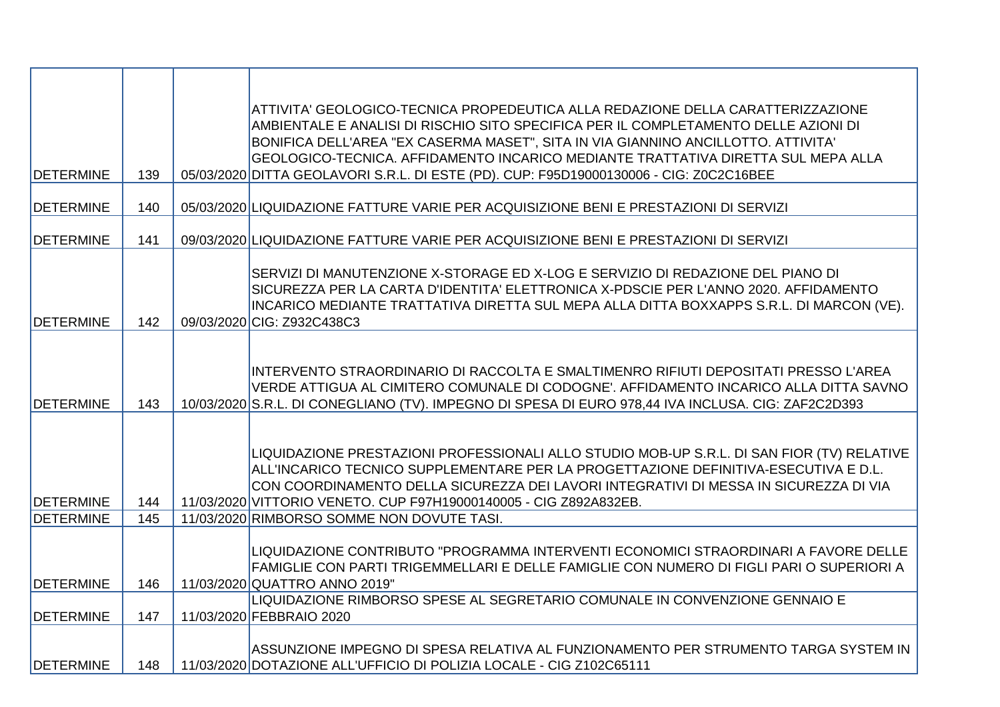| <b>DETERMINE</b>  | 139 | ATTIVITA' GEOLOGICO-TECNICA PROPEDEUTICA ALLA REDAZIONE DELLA CARATTERIZZAZIONE<br>AMBIENTALE E ANALISI DI RISCHIO SITO SPECIFICA PER IL COMPLETAMENTO DELLE AZIONI DI<br>BONIFICA DELL'AREA "EX CASERMA MASET", SITA IN VIA GIANNINO ANCILLOTTO. ATTIVITA'<br>GEOLOGICO-TECNICA. AFFIDAMENTO INCARICO MEDIANTE TRATTATIVA DIRETTA SUL MEPA ALLA<br>05/03/2020 DITTA GEOLAVORI S.R.L. DI ESTE (PD). CUP: F95D19000130006 - CIG: Z0C2C16BEE |
|-------------------|-----|--------------------------------------------------------------------------------------------------------------------------------------------------------------------------------------------------------------------------------------------------------------------------------------------------------------------------------------------------------------------------------------------------------------------------------------------|
| <b>DETERMINE</b>  | 140 | 05/03/2020 LIQUIDAZIONE FATTURE VARIE PER ACQUISIZIONE BENI E PRESTAZIONI DI SERVIZI                                                                                                                                                                                                                                                                                                                                                       |
| <b>IDETERMINE</b> | 141 | 09/03/2020 LIQUIDAZIONE FATTURE VARIE PER ACQUISIZIONE BENI E PRESTAZIONI DI SERVIZI                                                                                                                                                                                                                                                                                                                                                       |
| <b>DETERMINE</b>  | 142 | SERVIZI DI MANUTENZIONE X-STORAGE ED X-LOG E SERVIZIO DI REDAZIONE DEL PIANO DI<br>SICUREZZA PER LA CARTA D'IDENTITA' ELETTRONICA X-PDSCIE PER L'ANNO 2020. AFFIDAMENTO<br>INCARICO MEDIANTE TRATTATIVA DIRETTA SUL MEPA ALLA DITTA BOXXAPPS S.R.L. DI MARCON (VE).<br>09/03/2020 CIG: Z932C438C3                                                                                                                                          |
| <b>DETERMINE</b>  | 143 | INTERVENTO STRAORDINARIO DI RACCOLTA E SMALTIMENRO RIFIUTI DEPOSITATI PRESSO L'AREA<br>VERDE ATTIGUA AL CIMITERO COMUNALE DI CODOGNE'. AFFIDAMENTO INCARICO ALLA DITTA SAVNO<br>10/03/2020 S.R.L. DI CONEGLIANO (TV). IMPEGNO DI SPESA DI EURO 978,44 IVA INCLUSA. CIG: ZAF2C2D393                                                                                                                                                         |
| <b>DETERMINE</b>  | 144 | LIQUIDAZIONE PRESTAZIONI PROFESSIONALI ALLO STUDIO MOB-UP S.R.L. DI SAN FIOR (TV) RELATIVE<br>ALL'INCARICO TECNICO SUPPLEMENTARE PER LA PROGETTAZIONE DEFINITIVA-ESECUTIVA E D.L.<br>CON COORDINAMENTO DELLA SICUREZZA DEI LAVORI INTEGRATIVI DI MESSA IN SICUREZZA DI VIA<br>11/03/2020 VITTORIO VENETO. CUP F97H19000140005 - CIG Z892A832EB.                                                                                            |
| <b>DETERMINE</b>  | 145 | 11/03/2020 RIMBORSO SOMME NON DOVUTE TASI.                                                                                                                                                                                                                                                                                                                                                                                                 |
| <b>DETERMINE</b>  | 146 | LIQUIDAZIONE CONTRIBUTO "PROGRAMMA INTERVENTI ECONOMICI STRAORDINARI A FAVORE DELLE<br>FAMIGLIE CON PARTI TRIGEMMELLARI E DELLE FAMIGLIE CON NUMERO DI FIGLI PARI O SUPERIORI A<br>11/03/2020 QUATTRO ANNO 2019"                                                                                                                                                                                                                           |
| <b>DETERMINE</b>  | 147 | LIQUIDAZIONE RIMBORSO SPESE AL SEGRETARIO COMUNALE IN CONVENZIONE GENNAIO E<br>11/03/2020 FEBBRAIO 2020                                                                                                                                                                                                                                                                                                                                    |
| <b>DETERMINE</b>  | 148 | ASSUNZIONE IMPEGNO DI SPESA RELATIVA AL FUNZIONAMENTO PER STRUMENTO TARGA SYSTEM IN<br>11/03/2020 DOTAZIONE ALL'UFFICIO DI POLIZIA LOCALE - CIG Z102C65111                                                                                                                                                                                                                                                                                 |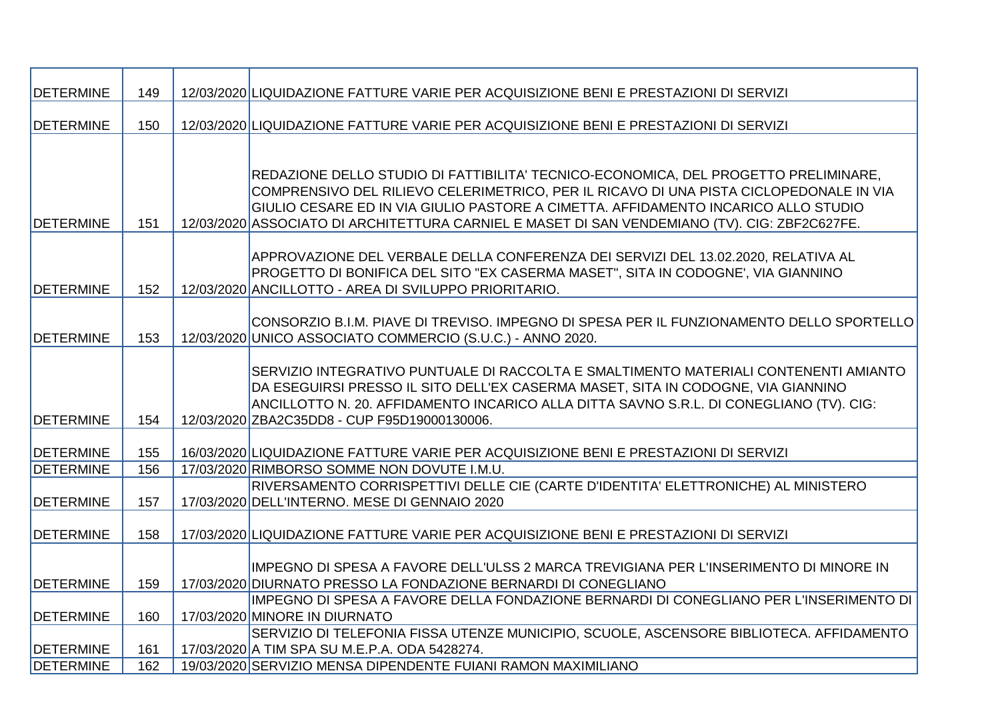| <b>DETERMINE</b> | 149 | 12/03/2020 LIQUIDAZIONE FATTURE VARIE PER ACQUISIZIONE BENI E PRESTAZIONI DI SERVIZI          |
|------------------|-----|-----------------------------------------------------------------------------------------------|
| <b>DETERMINE</b> | 150 | 12/03/2020 LIQUIDAZIONE FATTURE VARIE PER ACQUISIZIONE BENI E PRESTAZIONI DI SERVIZI          |
|                  |     |                                                                                               |
|                  |     |                                                                                               |
|                  |     | REDAZIONE DELLO STUDIO DI FATTIBILITA' TECNICO-ECONOMICA, DEL PROGETTO PRELIMINARE,           |
|                  |     | COMPRENSIVO DEL RILIEVO CELERIMETRICO, PER IL RICAVO DI UNA PISTA CICLOPEDONALE IN VIA        |
|                  |     | GIULIO CESARE ED IN VIA GIULIO PASTORE A CIMETTA. AFFIDAMENTO INCARICO ALLO STUDIO            |
| <b>DETERMINE</b> | 151 | 12/03/2020 ASSOCIATO DI ARCHITETTURA CARNIEL E MASET DI SAN VENDEMIANO (TV). CIG: ZBF2C627FE. |
|                  |     |                                                                                               |
|                  |     | APPROVAZIONE DEL VERBALE DELLA CONFERENZA DEI SERVIZI DEL 13.02.2020, RELATIVA AL             |
|                  |     | PROGETTO DI BONIFICA DEL SITO "EX CASERMA MASET", SITA IN CODOGNE', VIA GIANNINO              |
| <b>DETERMINE</b> | 152 | 12/03/2020 ANCILLOTTO - AREA DI SVILUPPO PRIORITARIO.                                         |
|                  |     |                                                                                               |
|                  |     | CONSORZIO B.I.M. PIAVE DI TREVISO. IMPEGNO DI SPESA PER IL FUNZIONAMENTO DELLO SPORTELLO      |
| <b>DETERMINE</b> | 153 | 12/03/2020 UNICO ASSOCIATO COMMERCIO (S.U.C.) - ANNO 2020.                                    |
|                  |     | SERVIZIO INTEGRATIVO PUNTUALE DI RACCOLTA E SMALTIMENTO MATERIALI CONTENENTI AMIANTO          |
|                  |     | DA ESEGUIRSI PRESSO IL SITO DELL'EX CASERMA MASET, SITA IN CODOGNE, VIA GIANNINO              |
|                  |     | ANCILLOTTO N. 20. AFFIDAMENTO INCARICO ALLA DITTA SAVNO S.R.L. DI CONEGLIANO (TV). CIG:       |
| <b>DETERMINE</b> | 154 | 12/03/2020 ZBA2C35DD8 - CUP F95D19000130006.                                                  |
|                  |     |                                                                                               |
| <b>DETERMINE</b> | 155 | 16/03/2020 LIQUIDAZIONE FATTURE VARIE PER ACQUISIZIONE BENI E PRESTAZIONI DI SERVIZI          |
| <b>DETERMINE</b> | 156 | 17/03/2020 RIMBORSO SOMME NON DOVUTE I.M.U.                                                   |
|                  |     | RIVERSAMENTO CORRISPETTIVI DELLE CIE (CARTE D'IDENTITA' ELETTRONICHE) AL MINISTERO            |
| <b>DETERMINE</b> | 157 | 17/03/2020 DELL'INTERNO. MESE DI GENNAIO 2020                                                 |
|                  |     |                                                                                               |
| <b>DETERMINE</b> | 158 | 17/03/2020 LIQUIDAZIONE FATTURE VARIE PER ACQUISIZIONE BENI E PRESTAZIONI DI SERVIZI          |
|                  |     |                                                                                               |
|                  |     | ∣IMPEGNO DI SPESA A FAVORE DELL'ULSS 2 MARCA TREVIGIANA PER L'INSERIMENTO DI MINORE IN        |
| DETERMINE        | 159 | 17/03/2020 DIURNATO PRESSO LA FONDAZIONE BERNARDI DI CONEGLIANO                               |
|                  |     | IMPEGNO DI SPESA A FAVORE DELLA FONDAZIONE BERNARDI DI CONEGLIANO PER L'INSERIMENTO DI        |
| <b>DETERMINE</b> | 160 | 17/03/2020 MINORE IN DIURNATO                                                                 |
|                  |     | SERVIZIO DI TELEFONIA FISSA UTENZE MUNICIPIO, SCUOLE, ASCENSORE BIBLIOTECA. AFFIDAMENTO       |
| <b>DETERMINE</b> | 161 | 17/03/2020 A TIM SPA SU M.E.P.A. ODA 5428274.                                                 |
| <b>DETERMINE</b> | 162 | 19/03/2020 SERVIZIO MENSA DIPENDENTE FUIANI RAMON MAXIMILIANO                                 |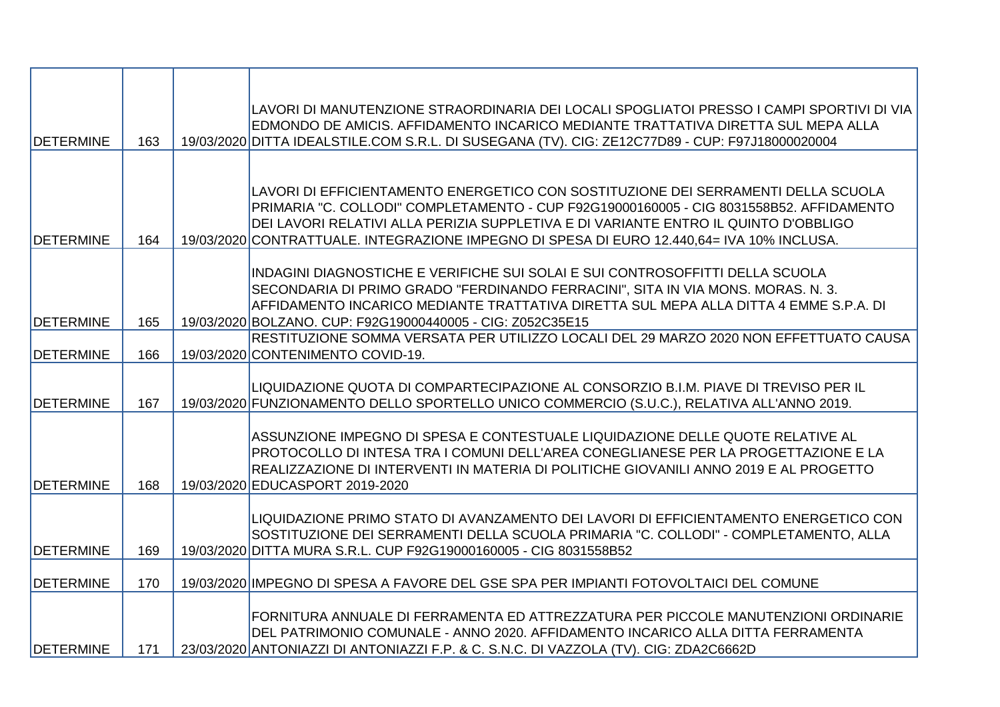|                   |     | LAVORI DI MANUTENZIONE STRAORDINARIA DEI LOCALI SPOGLIATOI PRESSO I CAMPI SPORTIVI DI VIA<br>EDMONDO DE AMICIS. AFFIDAMENTO INCARICO MEDIANTE TRATTATIVA DIRETTA SUL MEPA ALLA    |
|-------------------|-----|-----------------------------------------------------------------------------------------------------------------------------------------------------------------------------------|
| <b>DETERMINE</b>  | 163 | 19/03/2020 DITTA IDEALSTILE.COM S.R.L. DI SUSEGANA (TV). CIG: ZE12C77D89 - CUP: F97J18000020004                                                                                   |
|                   |     |                                                                                                                                                                                   |
|                   |     |                                                                                                                                                                                   |
|                   |     | LAVORI DI EFFICIENTAMENTO ENERGETICO CON SOSTITUZIONE DEI SERRAMENTI DELLA SCUOLA                                                                                                 |
|                   |     | PRIMARIA "C. COLLODI" COMPLETAMENTO - CUP F92G19000160005 - CIG 8031558B52. AFFIDAMENTO                                                                                           |
| <b>IDETERMINE</b> | 164 | DEI LAVORI RELATIVI ALLA PERIZIA SUPPLETIVA E DI VARIANTE ENTRO IL QUINTO D'OBBLIGO<br>19/03/2020 CONTRATTUALE. INTEGRAZIONE IMPEGNO DI SPESA DI EURO 12.440,64= IVA 10% INCLUSA. |
|                   |     |                                                                                                                                                                                   |
|                   |     | INDAGINI DIAGNOSTICHE E VERIFICHE SUI SOLAI E SUI CONTROSOFFITTI DELLA SCUOLA                                                                                                     |
|                   |     | SECONDARIA DI PRIMO GRADO "FERDINANDO FERRACINI", SITA IN VIA MONS. MORAS. N. 3.                                                                                                  |
|                   |     | AFFIDAMENTO INCARICO MEDIANTE TRATTATIVA DIRETTA SUL MEPA ALLA DITTA 4 EMME S.P.A. DI                                                                                             |
| <b>DETERMINE</b>  | 165 | 19/03/2020 BOLZANO. CUP: F92G19000440005 - CIG: Z052C35E15                                                                                                                        |
|                   |     | RESTITUZIONE SOMMA VERSATA PER UTILIZZO LOCALI DEL 29 MARZO 2020 NON EFFETTUATO CAUSA                                                                                             |
| <b>DETERMINE</b>  | 166 | 19/03/2020 CONTENIMENTO COVID-19.                                                                                                                                                 |
|                   |     | LIQUIDAZIONE QUOTA DI COMPARTECIPAZIONE AL CONSORZIO B.I.M. PIAVE DI TREVISO PER IL                                                                                               |
| <b>IDETERMINE</b> | 167 | 19/03/2020 FUNZIONAMENTO DELLO SPORTELLO UNICO COMMERCIO (S.U.C.), RELATIVA ALL'ANNO 2019.                                                                                        |
|                   |     |                                                                                                                                                                                   |
|                   |     | ASSUNZIONE IMPEGNO DI SPESA E CONTESTUALE LIQUIDAZIONE DELLE QUOTE RELATIVE AL                                                                                                    |
|                   |     | PROTOCOLLO DI INTESA TRA I COMUNI DELL'AREA CONEGLIANESE PER LA PROGETTAZIONE E LA                                                                                                |
|                   |     | REALIZZAZIONE DI INTERVENTI IN MATERIA DI POLITICHE GIOVANILI ANNO 2019 E AL PROGETTO                                                                                             |
| <b>IDETERMINE</b> | 168 | 19/03/2020 EDUCASPORT 2019-2020                                                                                                                                                   |
|                   |     | LIQUIDAZIONE PRIMO STATO DI AVANZAMENTO DEI LAVORI DI EFFICIENTAMENTO ENERGETICO CON                                                                                              |
|                   |     | SOSTITUZIONE DEI SERRAMENTI DELLA SCUOLA PRIMARIA "C. COLLODI" - COMPLETAMENTO, ALLA                                                                                              |
| <b>DETERMINE</b>  | 169 | 19/03/2020 DITTA MURA S.R.L. CUP F92G19000160005 - CIG 8031558B52                                                                                                                 |
|                   |     |                                                                                                                                                                                   |
| <b>IDETERMINE</b> | 170 | 19/03/2020 IMPEGNO DI SPESA A FAVORE DEL GSE SPA PER IMPIANTI FOTOVOLTAICI DEL COMUNE                                                                                             |
|                   |     | FORNITURA ANNUALE DI FERRAMENTA ED ATTREZZATURA PER PICCOLE MANUTENZIONI ORDINARIE                                                                                                |
|                   |     | DEL PATRIMONIO COMUNALE - ANNO 2020. AFFIDAMENTO INCARICO ALLA DITTA FERRAMENTA                                                                                                   |
| <b>DETERMINE</b>  | 171 | 23/03/2020 ANTONIAZZI DI ANTONIAZZI F.P. & C. S.N.C. DI VAZZOLA (TV). CIG: ZDA2C6662D                                                                                             |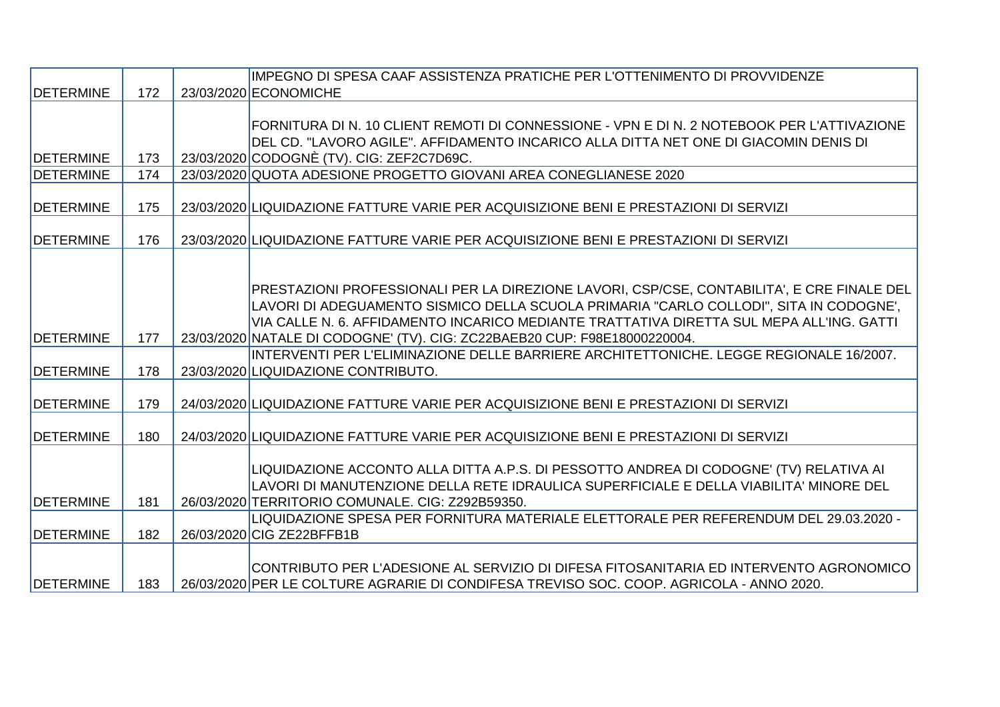|                  |     | IMPEGNO DI SPESA CAAF ASSISTENZA PRATICHE PER L'OTTENIMENTO DI PROVVIDENZE                 |
|------------------|-----|--------------------------------------------------------------------------------------------|
| <b>DETERMINE</b> | 172 | 23/03/2020 ECONOMICHE                                                                      |
|                  |     |                                                                                            |
|                  |     | FORNITURA DI N. 10 CLIENT REMOTI DI CONNESSIONE - VPN E DI N. 2 NOTEBOOK PER L'ATTIVAZIONE |
|                  |     | DEL CD. "LAVORO AGILE". AFFIDAMENTO INCARICO ALLA DITTA NET ONE DI GIACOMIN DENIS DI       |
| <b>DETERMINE</b> | 173 | 23/03/2020 CODOGNÈ (TV). CIG: ZEF2C7D69C.                                                  |
| <b>DETERMINE</b> | 174 | 23/03/2020 QUOTA ADESIONE PROGETTO GIOVANI AREA CONEGLIANESE 2020                          |
|                  |     |                                                                                            |
| <b>DETERMINE</b> | 175 | 23/03/2020 LIQUIDAZIONE FATTURE VARIE PER ACQUISIZIONE BENI E PRESTAZIONI DI SERVIZI       |
|                  |     |                                                                                            |
| <b>DETERMINE</b> | 176 | 23/03/2020 LIQUIDAZIONE FATTURE VARIE PER ACQUISIZIONE BENI E PRESTAZIONI DI SERVIZI       |
|                  |     |                                                                                            |
|                  |     |                                                                                            |
|                  |     | PRESTAZIONI PROFESSIONALI PER LA DIREZIONE LAVORI, CSP/CSE, CONTABILITA', E CRE FINALE DEL |
|                  |     | LAVORI DI ADEGUAMENTO SISMICO DELLA SCUOLA PRIMARIA "CARLO COLLODI", SITA IN CODOGNE',     |
|                  |     | VIA CALLE N. 6. AFFIDAMENTO INCARICO MEDIANTE TRATTATIVA DIRETTA SUL MEPA ALL'ING. GATTI   |
| <b>DETERMINE</b> | 177 | 23/03/2020 NATALE DI CODOGNE' (TV). CIG: ZC22BAEB20 CUP: F98E18000220004.                  |
|                  |     | INTERVENTI PER L'ELIMINAZIONE DELLE BARRIERE ARCHITETTONICHE. LEGGE REGIONALE 16/2007.     |
| <b>DETERMINE</b> | 178 | 23/03/2020 LIQUIDAZIONE CONTRIBUTO.                                                        |
|                  |     |                                                                                            |
| <b>DETERMINE</b> | 179 | 24/03/2020 LIQUIDAZIONE FATTURE VARIE PER ACQUISIZIONE BENI E PRESTAZIONI DI SERVIZI       |
|                  |     |                                                                                            |
| <b>DETERMINE</b> | 180 | 24/03/2020 LIQUIDAZIONE FATTURE VARIE PER ACQUISIZIONE BENI E PRESTAZIONI DI SERVIZI       |
|                  |     |                                                                                            |
|                  |     | LIQUIDAZIONE ACCONTO ALLA DITTA A.P.S. DI PESSOTTO ANDREA DI CODOGNE' (TV) RELATIVA AI     |
|                  |     | LAVORI DI MANUTENZIONE DELLA RETE IDRAULICA SUPERFICIALE E DELLA VIABILITA' MINORE DEL     |
| <b>DETERMINE</b> | 181 | 26/03/2020 TERRITORIO COMUNALE. CIG: Z292B59350.                                           |
|                  |     | LIQUIDAZIONE SPESA PER FORNITURA MATERIALE ELETTORALE PER REFERENDUM DEL 29.03.2020 -      |
| <b>DETERMINE</b> | 182 | 26/03/2020 CIG ZE22BFFB1B                                                                  |
|                  |     |                                                                                            |
|                  |     | CONTRIBUTO PER L'ADESIONE AL SERVIZIO DI DIFESA FITOSANITARIA ED INTERVENTO AGRONOMICO     |
| <b>DETERMINE</b> | 183 | 26/03/2020 PER LE COLTURE AGRARIE DI CONDIFESA TREVISO SOC. COOP. AGRICOLA - ANNO 2020.    |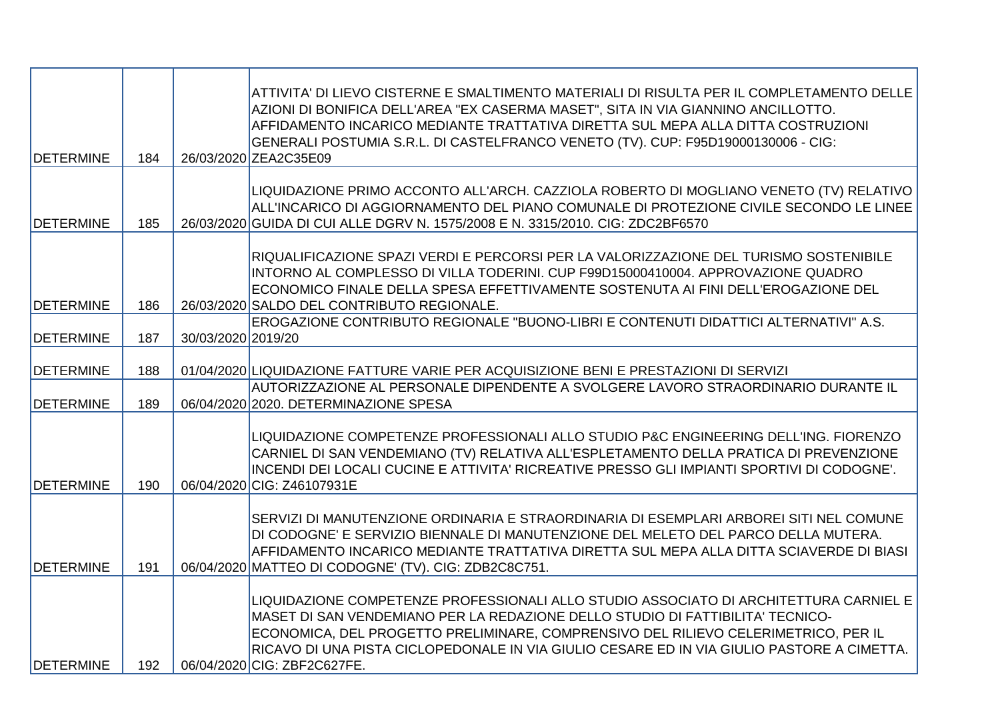| <b>DETERMINE</b>                     | 184        |                    | ATTIVITA' DI LIEVO CISTERNE E SMALTIMENTO MATERIALI DI RISULTA PER IL COMPLETAMENTO DELLE<br>AZIONI DI BONIFICA DELL'AREA "EX CASERMA MASET", SITA IN VIA GIANNINO ANCILLOTTO.<br>AFFIDAMENTO INCARICO MEDIANTE TRATTATIVA DIRETTA SUL MEPA ALLA DITTA COSTRUZIONI<br>GENERALI POSTUMIA S.R.L. DI CASTELFRANCO VENETO (TV). CUP: F95D19000130006 - CIG:<br>26/03/2020 ZEA2C35E09            |
|--------------------------------------|------------|--------------------|---------------------------------------------------------------------------------------------------------------------------------------------------------------------------------------------------------------------------------------------------------------------------------------------------------------------------------------------------------------------------------------------|
| <b>DETERMINE</b>                     | 185        |                    | LIQUIDAZIONE PRIMO ACCONTO ALL'ARCH. CAZZIOLA ROBERTO DI MOGLIANO VENETO (TV) RELATIVO<br>ALL'INCARICO DI AGGIORNAMENTO DEL PIANO COMUNALE DI PROTEZIONE CIVILE SECONDO LE LINEE<br>26/03/2020 GUIDA DI CUI ALLE DGRV N. 1575/2008 E N. 3315/2010. CIG: ZDC2BF6570                                                                                                                          |
| <b>DETERMINE</b>                     | 186        |                    | RIQUALIFICAZIONE SPAZI VERDI E PERCORSI PER LA VALORIZZAZIONE DEL TURISMO SOSTENIBILE<br>INTORNO AL COMPLESSO DI VILLA TODERINI. CUP F99D15000410004. APPROVAZIONE QUADRO<br>ECONOMICO FINALE DELLA SPESA EFFETTIVAMENTE SOSTENUTA AI FINI DELL'EROGAZIONE DEL<br>26/03/2020 SALDO DEL CONTRIBUTO REGIONALE.                                                                                |
| <b>DETERMINE</b>                     | 187        | 30/03/2020 2019/20 | EROGAZIONE CONTRIBUTO REGIONALE "BUONO-LIBRI E CONTENUTI DIDATTICI ALTERNATIVI" A.S.                                                                                                                                                                                                                                                                                                        |
| <b>DETERMINE</b><br><b>DETERMINE</b> | 188<br>189 |                    | 01/04/2020 LIQUIDAZIONE FATTURE VARIE PER ACQUISIZIONE BENI E PRESTAZIONI DI SERVIZI<br>AUTORIZZAZIONE AL PERSONALE DIPENDENTE A SVOLGERE LAVORO STRAORDINARIO DURANTE IL<br>06/04/2020 2020. DETERMINAZIONE SPESA                                                                                                                                                                          |
| <b>DETERMINE</b>                     | 190        |                    | LIQUIDAZIONE COMPETENZE PROFESSIONALI ALLO STUDIO P&C ENGINEERING DELL'ING. FIORENZO<br>CARNIEL DI SAN VENDEMIANO (TV) RELATIVA ALL'ESPLETAMENTO DELLA PRATICA DI PREVENZIONE<br>INCENDI DEI LOCALI CUCINE E ATTIVITA' RICREATIVE PRESSO GLI IMPIANTI SPORTIVI DI CODOGNE'.<br>06/04/2020 CIG: Z46107931E                                                                                   |
| <b>DETERMINE</b>                     | 191        |                    | SERVIZI DI MANUTENZIONE ORDINARIA E STRAORDINARIA DI ESEMPLARI ARBOREI SITI NEL COMUNE<br>DI CODOGNE' E SERVIZIO BIENNALE DI MANUTENZIONE DEL MELETO DEL PARCO DELLA MUTERA.<br>AFFIDAMENTO INCARICO MEDIANTE TRATTATIVA DIRETTA SUL MEPA ALLA DITTA SCIAVERDE DI BIASI<br>06/04/2020 MATTEO DI CODOGNE' (TV). CIG: ZDB2C8C751.                                                             |
| <b>DETERMINE</b>                     | 192        |                    | LIQUIDAZIONE COMPETENZE PROFESSIONALI ALLO STUDIO ASSOCIATO DI ARCHITETTURA CARNIEL E<br>MASET DI SAN VENDEMIANO PER LA REDAZIONE DELLO STUDIO DI FATTIBILITA' TECNICO-<br>ECONOMICA, DEL PROGETTO PRELIMINARE, COMPRENSIVO DEL RILIEVO CELERIMETRICO, PER IL<br>IRICAVO DI UNA PISTA CICLOPEDONALE IN VIA GIULIO CESARE ED IN VIA GIULIO PASTORE A CIMETTA.<br>06/04/2020 CIG: ZBF2C627FE. |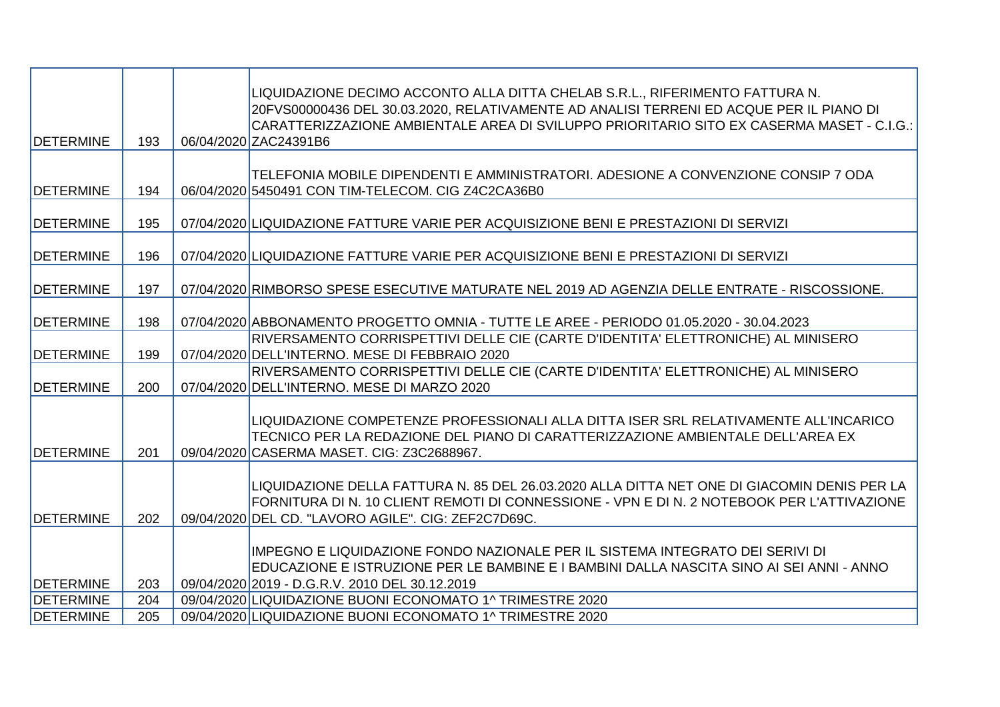| <b>DETERMINE</b> | 193 | LIQUIDAZIONE DECIMO ACCONTO ALLA DITTA CHELAB S.R.L., RIFERIMENTO FATTURA N.<br>20FVS00000436 DEL 30.03.2020, RELATIVAMENTE AD ANALISI TERRENI ED ACQUE PER IL PIANO DI<br>CARATTERIZZAZIONE AMBIENTALE AREA DI SVILUPPO PRIORITARIO SITO EX CASERMA MASET - C.I.G.:<br>06/04/2020 ZAC24391B6 |
|------------------|-----|-----------------------------------------------------------------------------------------------------------------------------------------------------------------------------------------------------------------------------------------------------------------------------------------------|
| <b>DETERMINE</b> | 194 | TELEFONIA MOBILE DIPENDENTI E AMMINISTRATORI. ADESIONE A CONVENZIONE CONSIP 7 ODA<br>06/04/2020 5450491 CON TIM-TELECOM. CIG Z4C2CA36B0                                                                                                                                                       |
| <b>DETERMINE</b> | 195 | 07/04/2020 LIQUIDAZIONE FATTURE VARIE PER ACQUISIZIONE BENI E PRESTAZIONI DI SERVIZI                                                                                                                                                                                                          |
| <b>DETERMINE</b> | 196 | 07/04/2020 LIQUIDAZIONE FATTURE VARIE PER ACQUISIZIONE BENI E PRESTAZIONI DI SERVIZI                                                                                                                                                                                                          |
| <b>DETERMINE</b> | 197 | 07/04/2020 RIMBORSO SPESE ESECUTIVE MATURATE NEL 2019 AD AGENZIA DELLE ENTRATE - RISCOSSIONE.                                                                                                                                                                                                 |
| <b>DETERMINE</b> | 198 | 07/04/2020 ABBONAMENTO PROGETTO OMNIA - TUTTE LE AREE - PERIODO 01.05.2020 - 30.04.2023                                                                                                                                                                                                       |
| <b>DETERMINE</b> | 199 | RIVERSAMENTO CORRISPETTIVI DELLE CIE (CARTE D'IDENTITA' ELETTRONICHE) AL MINISERO<br>07/04/2020 DELL'INTERNO. MESE DI FEBBRAIO 2020                                                                                                                                                           |
| <b>DETERMINE</b> | 200 | RIVERSAMENTO CORRISPETTIVI DELLE CIE (CARTE D'IDENTITA' ELETTRONICHE) AL MINISERO<br>07/04/2020 DELL'INTERNO. MESE DI MARZO 2020                                                                                                                                                              |
| <b>DETERMINE</b> | 201 | LIQUIDAZIONE COMPETENZE PROFESSIONALI ALLA DITTA ISER SRL RELATIVAMENTE ALL'INCARICO<br>TECNICO PER LA REDAZIONE DEL PIANO DI CARATTERIZZAZIONE AMBIENTALE DELL'AREA EX<br>09/04/2020 CASERMA MASET. CIG: Z3C2688967.                                                                         |
| <b>DETERMINE</b> | 202 | LIQUIDAZIONE DELLA FATTURA N. 85 DEL 26.03.2020 ALLA DITTA NET ONE DI GIACOMIN DENIS PER LA<br>FORNITURA DI N. 10 CLIENT REMOTI DI CONNESSIONE - VPN E DI N. 2 NOTEBOOK PER L'ATTIVAZIONE<br>09/04/2020 DEL CD. "LAVORO AGILE". CIG: ZEF2C7D69C.                                              |
| <b>DETERMINE</b> | 203 | IMPEGNO E LIQUIDAZIONE FONDO NAZIONALE PER IL SISTEMA INTEGRATO DEI SERIVI DI<br>EDUCAZIONE E ISTRUZIONE PER LE BAMBINE E I BAMBINI DALLA NASCITA SINO AI SEI ANNI - ANNO<br>09/04/2020 2019 - D.G.R.V. 2010 DEL 30.12.2019                                                                   |
| <b>DETERMINE</b> | 204 | 09/04/2020 LIQUIDAZIONE BUONI ECONOMATO 1^ TRIMESTRE 2020                                                                                                                                                                                                                                     |
| <b>DETERMINE</b> | 205 | 09/04/2020 LIQUIDAZIONE BUONI ECONOMATO 1^ TRIMESTRE 2020                                                                                                                                                                                                                                     |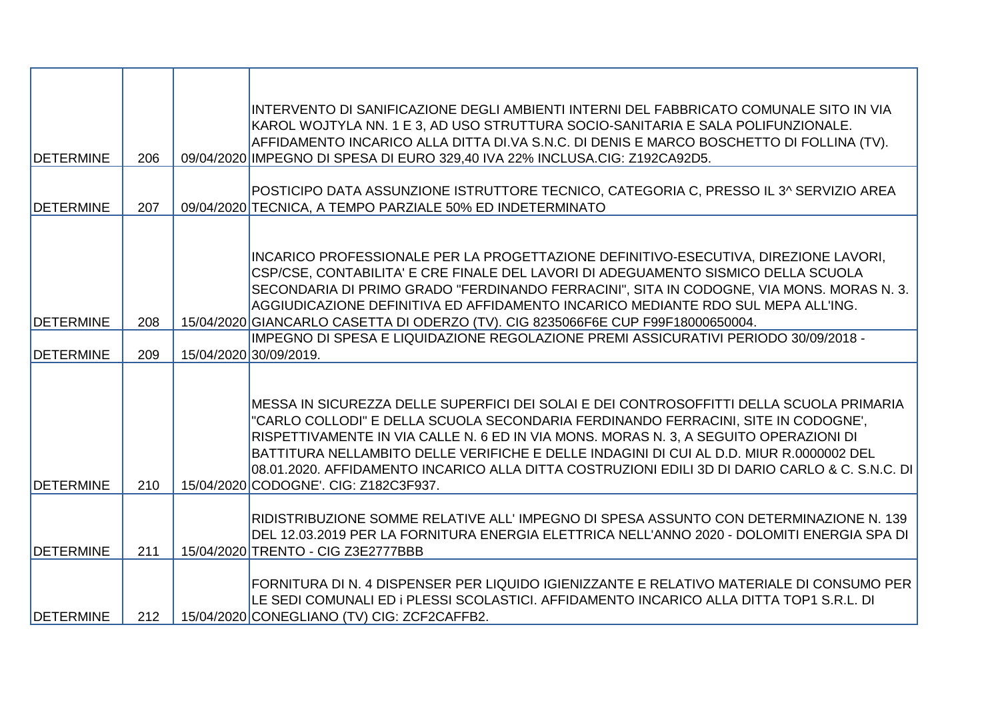| <b>DETERMINE</b> | 206 | INTERVENTO DI SANIFICAZIONE DEGLI AMBIENTI INTERNI DEL FABBRICATO COMUNALE SITO IN VIA<br>KAROL WOJTYLA NN. 1 E 3, AD USO STRUTTURA SOCIO-SANITARIA E SALA POLIFUNZIONALE.<br>AFFIDAMENTO INCARICO ALLA DITTA DI.VA S.N.C. DI DENIS E MARCO BOSCHETTO DI FOLLINA (TV).<br>09/04/2020 IMPEGNO DI SPESA DI EURO 329,40 IVA 22% INCLUSA.CIG: Z192CA92D5.                                                                                                                                                       |
|------------------|-----|-------------------------------------------------------------------------------------------------------------------------------------------------------------------------------------------------------------------------------------------------------------------------------------------------------------------------------------------------------------------------------------------------------------------------------------------------------------------------------------------------------------|
|                  |     |                                                                                                                                                                                                                                                                                                                                                                                                                                                                                                             |
| <b>DETERMINE</b> | 207 | POSTICIPO DATA ASSUNZIONE ISTRUTTORE TECNICO, CATEGORIA C, PRESSO IL 3^ SERVIZIO AREA<br>09/04/2020 TECNICA, A TEMPO PARZIALE 50% ED INDETERMINATO                                                                                                                                                                                                                                                                                                                                                          |
|                  |     |                                                                                                                                                                                                                                                                                                                                                                                                                                                                                                             |
| <b>DETERMINE</b> | 208 | INCARICO PROFESSIONALE PER LA PROGETTAZIONE DEFINITIVO-ESECUTIVA, DIREZIONE LAVORI,<br>CSP/CSE, CONTABILITA' E CRE FINALE DEL LAVORI DI ADEGUAMENTO SISMICO DELLA SCUOLA<br>SECONDARIA DI PRIMO GRADO "FERDINANDO FERRACINI", SITA IN CODOGNE, VIA MONS. MORAS N. 3.<br>AGGIUDICAZIONE DEFINITIVA ED AFFIDAMENTO INCARICO MEDIANTE RDO SUL MEPA ALL'ING.<br>15/04/2020 GIANCARLO CASETTA DI ODERZO (TV). CIG 8235066F6E CUP F99F18000650004.                                                                |
|                  |     | IMPEGNO DI SPESA E LIQUIDAZIONE REGOLAZIONE PREMI ASSICURATIVI PERIODO 30/09/2018 -                                                                                                                                                                                                                                                                                                                                                                                                                         |
| <b>DETERMINE</b> | 209 | 15/04/2020 30/09/2019.                                                                                                                                                                                                                                                                                                                                                                                                                                                                                      |
| <b>DETERMINE</b> | 210 | MESSA IN SICUREZZA DELLE SUPERFICI DEI SOLAI E DEI CONTROSOFFITTI DELLA SCUOLA PRIMARIA<br>"CARLO COLLODI" E DELLA SCUOLA SECONDARIA FERDINANDO FERRACINI, SITE IN CODOGNE',<br>RISPETTIVAMENTE IN VIA CALLE N. 6 ED IN VIA MONS. MORAS N. 3, A SEGUITO OPERAZIONI DI<br>BATTITURA NELLAMBITO DELLE VERIFICHE E DELLE INDAGINI DI CUI AL D.D. MIUR R.0000002 DEL<br>08.01.2020. AFFIDAMENTO INCARICO ALLA DITTA COSTRUZIONI EDILI 3D DI DARIO CARLO & C. S.N.C. DI<br>15/04/2020 CODOGNE'. CIG: Z182C3F937. |
| <b>DETERMINE</b> | 211 | RIDISTRIBUZIONE SOMME RELATIVE ALL'IMPEGNO DI SPESA ASSUNTO CON DETERMINAZIONE N. 139<br>DEL 12.03.2019 PER LA FORNITURA ENERGIA ELETTRICA NELL'ANNO 2020 - DOLOMITI ENERGIA SPA DI<br>15/04/2020 TRENTO - CIG Z3E2777BBB                                                                                                                                                                                                                                                                                   |
| <b>DETERMINE</b> | 212 | FORNITURA DI N. 4 DISPENSER PER LIQUIDO IGIENIZZANTE E RELATIVO MATERIALE DI CONSUMO PER<br>LE SEDI COMUNALI ED I PLESSI SCOLASTICI. AFFIDAMENTO INCARICO ALLA DITTA TOP1 S.R.L. DI<br>15/04/2020 CONEGLIANO (TV) CIG: ZCF2CAFFB2.                                                                                                                                                                                                                                                                          |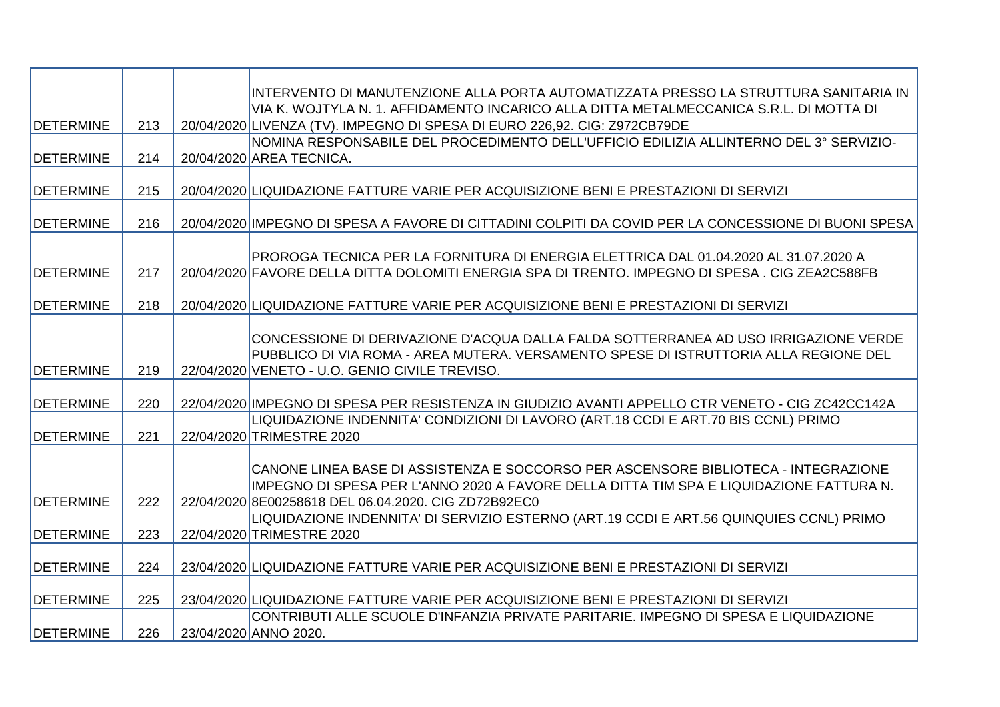|                  |     | INTERVENTO DI MANUTENZIONE ALLA PORTA AUTOMATIZZATA PRESSO LA STRUTTURA SANITARIA IN                                                                                                   |
|------------------|-----|----------------------------------------------------------------------------------------------------------------------------------------------------------------------------------------|
|                  |     | VIA K. WOJTYLA N. 1. AFFIDAMENTO INCARICO ALLA DITTA METALMECCANICA S.R.L. DI MOTTA DI                                                                                                 |
| <b>DETERMINE</b> | 213 | 20/04/2020 LIVENZA (TV). IMPEGNO DI SPESA DI EURO 226,92. CIG: Z972CB79DE                                                                                                              |
|                  |     | NOMINA RESPONSABILE DEL PROCEDIMENTO DELL'UFFICIO EDILIZIA ALLINTERNO DEL 3° SERVIZIO-                                                                                                 |
| <b>DETERMINE</b> | 214 | 20/04/2020 AREA TECNICA.                                                                                                                                                               |
|                  |     |                                                                                                                                                                                        |
| <b>DETERMINE</b> | 215 | 20/04/2020 LIQUIDAZIONE FATTURE VARIE PER ACQUISIZIONE BENI E PRESTAZIONI DI SERVIZI                                                                                                   |
|                  |     |                                                                                                                                                                                        |
| <b>DETERMINE</b> | 216 | 20/04/2020 IMPEGNO DI SPESA A FAVORE DI CITTADINI COLPITI DA COVID PER LA CONCESSIONE DI BUONI SPESA                                                                                   |
|                  |     |                                                                                                                                                                                        |
| <b>DETERMINE</b> | 217 | PROROGA TECNICA PER LA FORNITURA DI ENERGIA ELETTRICA DAL 01.04.2020 AL 31.07.2020 A<br>20/04/2020 FAVORE DELLA DITTA DOLOMITI ENERGIA SPA DI TRENTO. IMPEGNO DI SPESA. CIG ZEA2C588FB |
|                  |     |                                                                                                                                                                                        |
| <b>DETERMINE</b> | 218 | 20/04/2020 LIQUIDAZIONE FATTURE VARIE PER ACQUISIZIONE BENI E PRESTAZIONI DI SERVIZI                                                                                                   |
|                  |     |                                                                                                                                                                                        |
|                  |     | CONCESSIONE DI DERIVAZIONE D'ACQUA DALLA FALDA SOTTERRANEA AD USO IRRIGAZIONE VERDE                                                                                                    |
|                  |     | PUBBLICO DI VIA ROMA - AREA MUTERA. VERSAMENTO SPESE DI ISTRUTTORIA ALLA REGIONE DEL                                                                                                   |
| <b>DETERMINE</b> | 219 | 22/04/2020 VENETO - U.O. GENIO CIVILE TREVISO.                                                                                                                                         |
|                  |     |                                                                                                                                                                                        |
| <b>DETERMINE</b> | 220 | 22/04/2020 IMPEGNO DI SPESA PER RESISTENZA IN GIUDIZIO AVANTI APPELLO CTR VENETO - CIG ZC42CC142A                                                                                      |
|                  |     | LIQUIDAZIONE INDENNITA' CONDIZIONI DI LAVORO (ART.18 CCDI E ART.70 BIS CCNL) PRIMO                                                                                                     |
| <b>DETERMINE</b> | 221 | 22/04/2020 TRIMESTRE 2020                                                                                                                                                              |
|                  |     |                                                                                                                                                                                        |
|                  |     | CANONE LINEA BASE DI ASSISTENZA E SOCCORSO PER ASCENSORE BIBLIOTECA - INTEGRAZIONE                                                                                                     |
|                  |     | IMPEGNO DI SPESA PER L'ANNO 2020 A FAVORE DELLA DITTA TIM SPA E LIQUIDAZIONE FATTURA N.                                                                                                |
| <b>DETERMINE</b> | 222 | 22/04/2020 8E00258618 DEL 06.04.2020. CIG ZD72B92EC0                                                                                                                                   |
|                  |     | LIQUIDAZIONE INDENNITA' DI SERVIZIO ESTERNO (ART.19 CCDI E ART.56 QUINQUIES CCNL) PRIMO                                                                                                |
| <b>DETERMINE</b> | 223 | 22/04/2020 TRIMESTRE 2020                                                                                                                                                              |
|                  |     |                                                                                                                                                                                        |
| <b>DETERMINE</b> | 224 | 23/04/2020 LIQUIDAZIONE FATTURE VARIE PER ACQUISIZIONE BENI E PRESTAZIONI DI SERVIZI                                                                                                   |
| <b>DETERMINE</b> | 225 | 23/04/2020 LIQUIDAZIONE FATTURE VARIE PER ACQUISIZIONE BENI E PRESTAZIONI DI SERVIZI                                                                                                   |
|                  |     | CONTRIBUTI ALLE SCUOLE D'INFANZIA PRIVATE PARITARIE. IMPEGNO DI SPESA E LIQUIDAZIONE                                                                                                   |
| <b>DETERMINE</b> | 226 | 23/04/2020 ANNO 2020.                                                                                                                                                                  |
|                  |     |                                                                                                                                                                                        |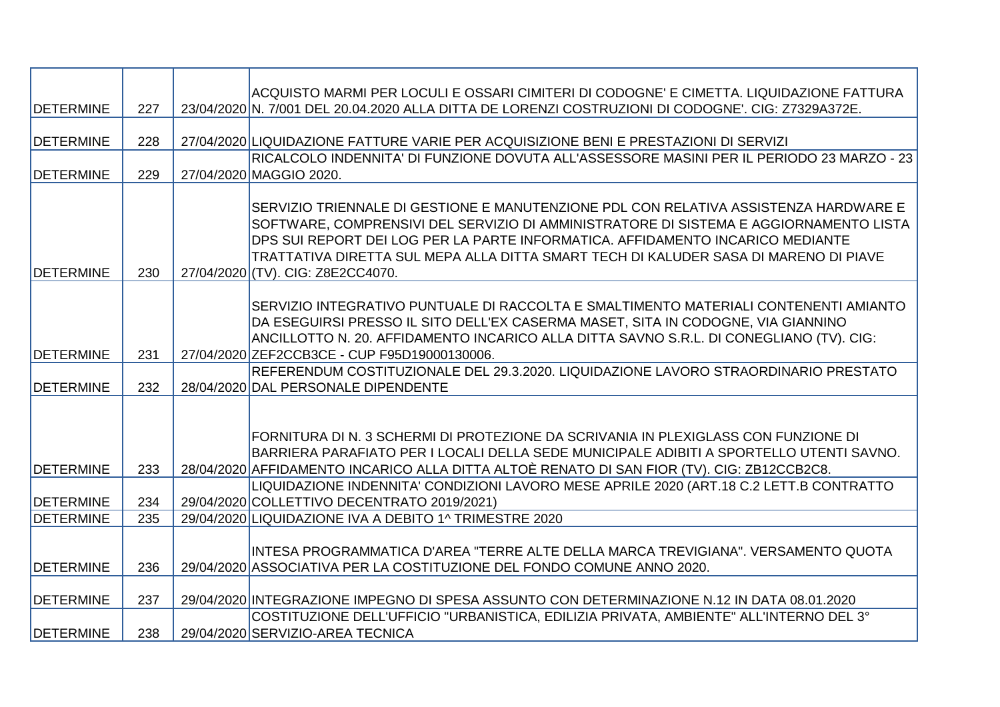|                   |     | ACQUISTO MARMI PER LOCULI E OSSARI CIMITERI DI CODOGNE' E CIMETTA. LIQUIDAZIONE FATTURA                                                                                                                                                                                                                                                                                                      |
|-------------------|-----|----------------------------------------------------------------------------------------------------------------------------------------------------------------------------------------------------------------------------------------------------------------------------------------------------------------------------------------------------------------------------------------------|
| <b>DETERMINE</b>  | 227 | 23/04/2020 N. 7/001 DEL 20.04.2020 ALLA DITTA DE LORENZI COSTRUZIONI DI CODOGNE'. CIG: Z7329A372E.                                                                                                                                                                                                                                                                                           |
|                   |     |                                                                                                                                                                                                                                                                                                                                                                                              |
| <b>DETERMINE</b>  | 228 | 27/04/2020 LIQUIDAZIONE FATTURE VARIE PER ACQUISIZIONE BENI E PRESTAZIONI DI SERVIZI                                                                                                                                                                                                                                                                                                         |
| <b>IDETERMINE</b> | 229 | RICALCOLO INDENNITA' DI FUNZIONE DOVUTA ALL'ASSESSORE MASINI PER IL PERIODO 23 MARZO - 23<br>27/04/2020 MAGGIO 2020.                                                                                                                                                                                                                                                                         |
| <b>DETERMINE</b>  | 230 | SERVIZIO TRIENNALE DI GESTIONE E MANUTENZIONE PDL CON RELATIVA ASSISTENZA HARDWARE E<br>SOFTWARE, COMPRENSIVI DEL SERVIZIO DI AMMINISTRATORE DI SISTEMA E AGGIORNAMENTO LISTA<br>DPS SUI REPORT DEI LOG PER LA PARTE INFORMATICA. AFFIDAMENTO INCARICO MEDIANTE<br>TRATTATIVA DIRETTA SUL MEPA ALLA DITTA SMART TECH DI KALUDER SASA DI MARENO DI PIAVE<br>27/04/2020 (TV). CIG: Z8E2CC4070. |
| <b>DETERMINE</b>  | 231 | SERVIZIO INTEGRATIVO PUNTUALE DI RACCOLTA E SMALTIMENTO MATERIALI CONTENENTI AMIANTO<br>DA ESEGUIRSI PRESSO IL SITO DELL'EX CASERMA MASET, SITA IN CODOGNE, VIA GIANNINO<br>ANCILLOTTO N. 20. AFFIDAMENTO INCARICO ALLA DITTA SAVNO S.R.L. DI CONEGLIANO (TV). CIG:<br>27/04/2020 ZEF2CCB3CE - CUP F95D19000130006.                                                                          |
|                   |     | IREFERENDUM COSTITUZIONALE DEL 29.3.2020. LIQUIDAZIONE LAVORO STRAORDINARIO PRESTATO                                                                                                                                                                                                                                                                                                         |
| <b>DETERMINE</b>  | 232 | 28/04/2020 DAL PERSONALE DIPENDENTE                                                                                                                                                                                                                                                                                                                                                          |
| <b>DETERMINE</b>  | 233 | FORNITURA DI N. 3 SCHERMI DI PROTEZIONE DA SCRIVANIA IN PLEXIGLASS CON FUNZIONE DI<br>BARRIERA PARAFIATO PER I LOCALI DELLA SEDE MUNICIPALE ADIBITI A SPORTELLO UTENTI SAVNO.<br>28/04/2020 AFFIDAMENTO INCARICO ALLA DITTA ALTOÈ RENATO DI SAN FIOR (TV). CIG: ZB12CCB2C8.                                                                                                                  |
|                   |     | LIQUIDAZIONE INDENNITA' CONDIZIONI LAVORO MESE APRILE 2020 (ART.18 C.2 LETT.B CONTRATTO                                                                                                                                                                                                                                                                                                      |
| <b>DETERMINE</b>  | 234 | 29/04/2020 COLLETTIVO DECENTRATO 2019/2021)                                                                                                                                                                                                                                                                                                                                                  |
| <b>DETERMINE</b>  | 235 | 29/04/2020 LIQUIDAZIONE IVA A DEBITO 1^ TRIMESTRE 2020                                                                                                                                                                                                                                                                                                                                       |
| <b>DETERMINE</b>  | 236 | INTESA PROGRAMMATICA D'AREA "TERRE ALTE DELLA MARCA TREVIGIANA". VERSAMENTO QUOTA<br>29/04/2020 ASSOCIATIVA PER LA COSTITUZIONE DEL FONDO COMUNE ANNO 2020.                                                                                                                                                                                                                                  |
| <b>DETERMINE</b>  | 237 | 29/04/2020 INTEGRAZIONE IMPEGNO DI SPESA ASSUNTO CON DETERMINAZIONE N.12 IN DATA 08.01.2020                                                                                                                                                                                                                                                                                                  |
| <b>DETERMINE</b>  | 238 | COSTITUZIONE DELL'UFFICIO "URBANISTICA, EDILIZIA PRIVATA, AMBIENTE" ALL'INTERNO DEL 3°<br>29/04/2020 SERVIZIO-AREA TECNICA                                                                                                                                                                                                                                                                   |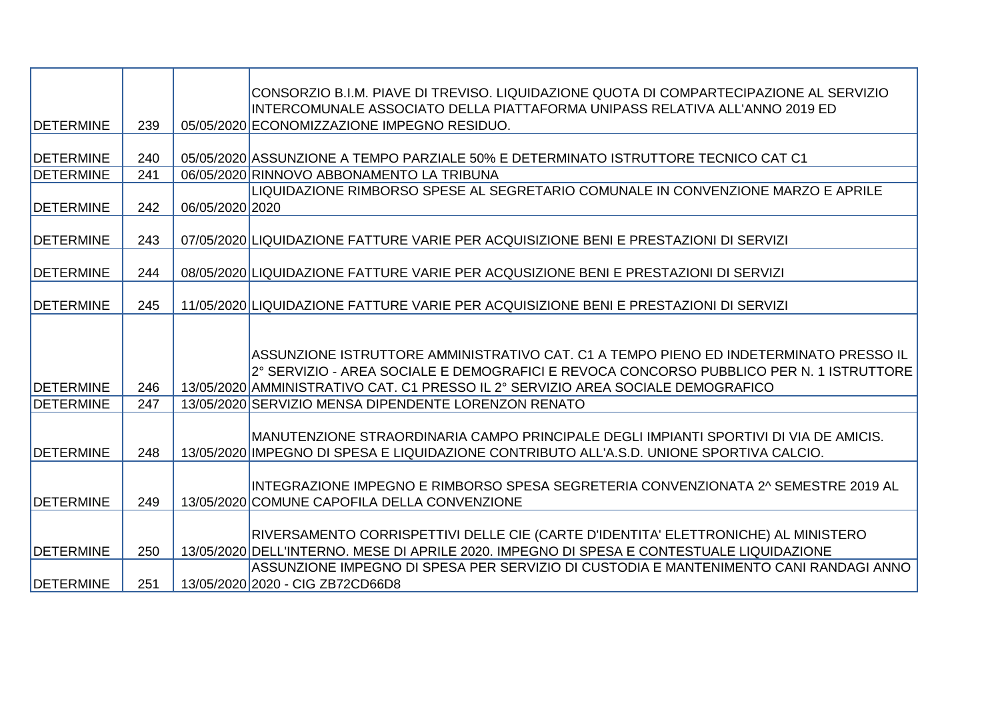|                   |     |                 | CONSORZIO B.I.M. PIAVE DI TREVISO. LIQUIDAZIONE QUOTA DI COMPARTECIPAZIONE AL SERVIZIO<br>INTERCOMUNALE ASSOCIATO DELLA PIATTAFORMA UNIPASS RELATIVA ALL'ANNO 2019 ED |
|-------------------|-----|-----------------|-----------------------------------------------------------------------------------------------------------------------------------------------------------------------|
| <b>IDETERMINE</b> | 239 |                 | 05/05/2020 ECONOMIZZAZIONE IMPEGNO RESIDUO.                                                                                                                           |
|                   |     |                 |                                                                                                                                                                       |
| <b>DETERMINE</b>  | 240 |                 | 05/05/2020 ASSUNZIONE A TEMPO PARZIALE 50% E DETERMINATO ISTRUTTORE TECNICO CAT C1                                                                                    |
| <b>DETERMINE</b>  | 241 |                 | 06/05/2020 RINNOVO ABBONAMENTO LA TRIBUNA                                                                                                                             |
|                   |     |                 | LIQUIDAZIONE RIMBORSO SPESE AL SEGRETARIO COMUNALE IN CONVENZIONE MARZO E APRILE                                                                                      |
| <b>DETERMINE</b>  | 242 | 06/05/2020 2020 |                                                                                                                                                                       |
|                   |     |                 |                                                                                                                                                                       |
| <b>DETERMINE</b>  | 243 |                 | 07/05/2020 LIQUIDAZIONE FATTURE VARIE PER ACQUISIZIONE BENI E PRESTAZIONI DI SERVIZI                                                                                  |
|                   |     |                 |                                                                                                                                                                       |
| <b>DETERMINE</b>  | 244 |                 | 08/05/2020 LIQUIDAZIONE FATTURE VARIE PER ACQUSIZIONE BENI E PRESTAZIONI DI SERVIZI                                                                                   |
| <b>DETERMINE</b>  | 245 |                 | 11/05/2020 LIQUIDAZIONE FATTURE VARIE PER ACQUISIZIONE BENI E PRESTAZIONI DI SERVIZI                                                                                  |
|                   |     |                 |                                                                                                                                                                       |
|                   |     |                 |                                                                                                                                                                       |
|                   |     |                 | ASSUNZIONE ISTRUTTORE AMMINISTRATIVO CAT. C1 A TEMPO PIENO ED INDETERMINATO PRESSO IL                                                                                 |
|                   |     |                 | 2° SERVIZIO - AREA SOCIALE E DEMOGRAFICI E REVOCA CONCORSO PUBBLICO PER N. 1 ISTRUTTORE                                                                               |
| <b>DETERMINE</b>  | 246 |                 | 13/05/2020 AMMINISTRATIVO CAT. C1 PRESSO IL 2° SERVIZIO AREA SOCIALE DEMOGRAFICO                                                                                      |
| <b>IDETERMINE</b> | 247 |                 | 13/05/2020 SERVIZIO MENSA DIPENDENTE LORENZON RENATO                                                                                                                  |
|                   |     |                 |                                                                                                                                                                       |
|                   |     |                 | MANUTENZIONE STRAORDINARIA CAMPO PRINCIPALE DEGLI IMPIANTI SPORTIVI DI VIA DE AMICIS.                                                                                 |
| <b>DETERMINE</b>  | 248 |                 | 13/05/2020 IMPEGNO DI SPESA E LIQUIDAZIONE CONTRIBUTO ALL'A.S.D. UNIONE SPORTIVA CALCIO.                                                                              |
|                   |     |                 |                                                                                                                                                                       |
|                   |     |                 | INTEGRAZIONE IMPEGNO E RIMBORSO SPESA SEGRETERIA CONVENZIONATA 2^ SEMESTRE 2019 AL                                                                                    |
| <b>DETERMINE</b>  | 249 |                 | 13/05/2020 COMUNE CAPOFILA DELLA CONVENZIONE                                                                                                                          |
|                   |     |                 | RIVERSAMENTO CORRISPETTIVI DELLE CIE (CARTE D'IDENTITA' ELETTRONICHE) AL MINISTERO                                                                                    |
| <b>DETERMINE</b>  | 250 |                 | 13/05/2020 DELL'INTERNO. MESE DI APRILE 2020. IMPEGNO DI SPESA E CONTESTUALE LIQUIDAZIONE                                                                             |
|                   |     |                 |                                                                                                                                                                       |
|                   |     |                 |                                                                                                                                                                       |
| <b>DETERMINE</b>  | 251 |                 | ASSUNZIONE IMPEGNO DI SPESA PER SERVIZIO DI CUSTODIA E MANTENIMENTO CANI RANDAGI ANNO<br>13/05/2020 2020 - CIG ZB72CD66D8                                             |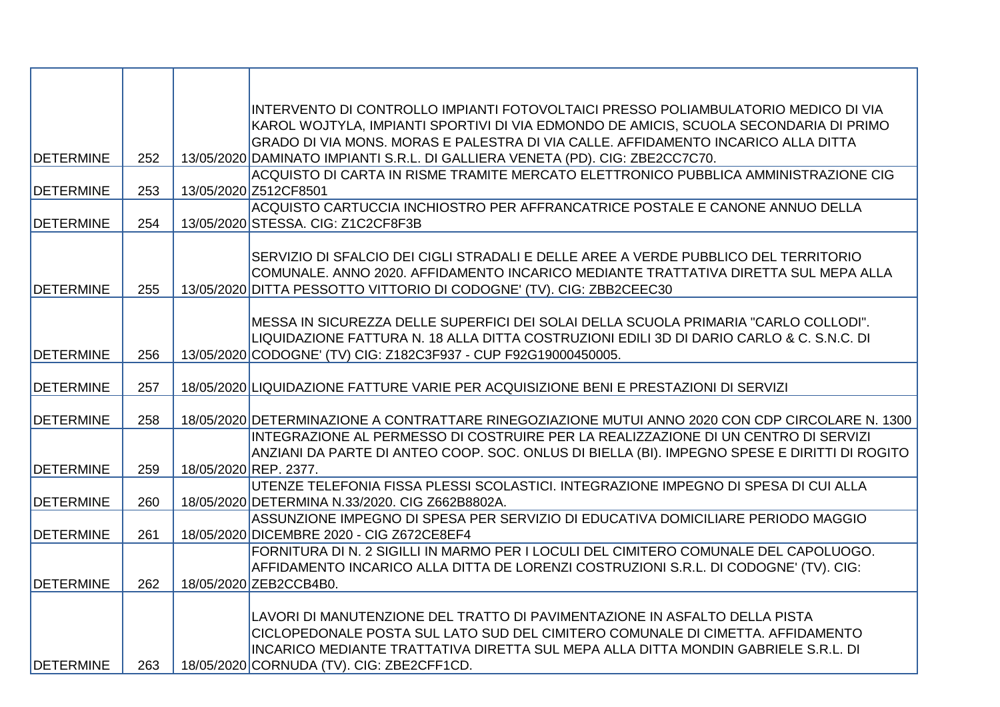|                   |     | INTERVENTO DI CONTROLLO IMPIANTI FOTOVOLTAICI PRESSO POLIAMBULATORIO MEDICO DI VIA                                                                                                 |
|-------------------|-----|------------------------------------------------------------------------------------------------------------------------------------------------------------------------------------|
|                   |     | KAROL WOJTYLA, IMPIANTI SPORTIVI DI VIA EDMONDO DE AMICIS, SCUOLA SECONDARIA DI PRIMO                                                                                              |
|                   |     | GRADO DI VIA MONS. MORAS E PALESTRA DI VIA CALLE. AFFIDAMENTO INCARICO ALLA DITTA                                                                                                  |
| <b>DETERMINE</b>  | 252 | 13/05/2020 DAMINATO IMPIANTI S.R.L. DI GALLIERA VENETA (PD). CIG: ZBE2CC7C70.<br>ACQUISTO DI CARTA IN RISME TRAMITE MERCATO ELETTRONICO PUBBLICA AMMINISTRAZIONE CIG               |
| <b>DETERMINE</b>  | 253 | 13/05/2020 Z512CF8501                                                                                                                                                              |
|                   |     | ACQUISTO CARTUCCIA INCHIOSTRO PER AFFRANCATRICE POSTALE E CANONE ANNUO DELLA                                                                                                       |
| <b>DETERMINE</b>  | 254 | 13/05/2020 STESSA. CIG: Z1C2CF8F3B                                                                                                                                                 |
|                   |     |                                                                                                                                                                                    |
|                   |     | SERVIZIO DI SFALCIO DEI CIGLI STRADALI E DELLE AREE A VERDE PUBBLICO DEL TERRITORIO                                                                                                |
|                   |     | COMUNALE. ANNO 2020. AFFIDAMENTO INCARICO MEDIANTE TRATTATIVA DIRETTA SUL MEPA ALLA                                                                                                |
| <b>DETERMINE</b>  | 255 | 13/05/2020 DITTA PESSOTTO VITTORIO DI CODOGNE' (TV). CIG: ZBB2CEEC30                                                                                                               |
|                   |     | MESSA IN SICUREZZA DELLE SUPERFICI DEI SOLAI DELLA SCUOLA PRIMARIA "CARLO COLLODI".                                                                                                |
|                   |     | LIQUIDAZIONE FATTURA N. 18 ALLA DITTA COSTRUZIONI EDILI 3D DI DARIO CARLO & C. S.N.C. DI                                                                                           |
| <b>DETERMINE</b>  | 256 | 13/05/2020 CODOGNE' (TV) CIG: Z182C3F937 - CUP F92G19000450005.                                                                                                                    |
|                   |     |                                                                                                                                                                                    |
| <b>DETERMINE</b>  | 257 | 18/05/2020 LIQUIDAZIONE FATTURE VARIE PER ACQUISIZIONE BENI E PRESTAZIONI DI SERVIZI                                                                                               |
|                   |     |                                                                                                                                                                                    |
| <b>DETERMINE</b>  | 258 | 18/05/2020 DETERMINAZIONE A CONTRATTARE RINEGOZIAZIONE MUTUI ANNO 2020 CON CDP CIRCOLARE N. 1300                                                                                   |
|                   |     | INTEGRAZIONE AL PERMESSO DI COSTRUIRE PER LA REALIZZAZIONE DI UN CENTRO DI SERVIZI<br>ANZIANI DA PARTE DI ANTEO COOP. SOC. ONLUS DI BIELLA (BI). IMPEGNO SPESE E DIRITTI DI ROGITO |
| <b>DETERMINE</b>  | 259 | 18/05/2020 REP. 2377.                                                                                                                                                              |
|                   |     | UTENZE TELEFONIA FISSA PLESSI SCOLASTICI. INTEGRAZIONE IMPEGNO DI SPESA DI CUI ALLA                                                                                                |
| <b>IDETERMINE</b> | 260 | 18/05/2020 DETERMINA N.33/2020. CIG Z662B8802A.                                                                                                                                    |
|                   |     | ASSUNZIONE IMPEGNO DI SPESA PER SERVIZIO DI EDUCATIVA DOMICILIARE PERIODO MAGGIO                                                                                                   |
| <b>DETERMINE</b>  | 261 | 18/05/2020 DICEMBRE 2020 - CIG Z672CE8EF4                                                                                                                                          |
|                   |     | FORNITURA DI N. 2 SIGILLI IN MARMO PER I LOCULI DEL CIMITERO COMUNALE DEL CAPOLUOGO.                                                                                               |
|                   |     | AFFIDAMENTO INCARICO ALLA DITTA DE LORENZI COSTRUZIONI S.R.L. DI CODOGNE' (TV). CIG:                                                                                               |
| <b>DETERMINE</b>  | 262 | 18/05/2020 ZEB2CCB4B0.                                                                                                                                                             |
|                   |     | LAVORI DI MANUTENZIONE DEL TRATTO DI PAVIMENTAZIONE IN ASFALTO DELLA PISTA                                                                                                         |
|                   |     | CICLOPEDONALE POSTA SUL LATO SUD DEL CIMITERO COMUNALE DI CIMETTA. AFFIDAMENTO                                                                                                     |
|                   |     | INCARICO MEDIANTE TRATTATIVA DIRETTA SUL MEPA ALLA DITTA MONDIN GABRIELE S.R.L. DI                                                                                                 |
| <b>DETERMINE</b>  | 263 | 18/05/2020 CORNUDA (TV). CIG: ZBE2CFF1CD.                                                                                                                                          |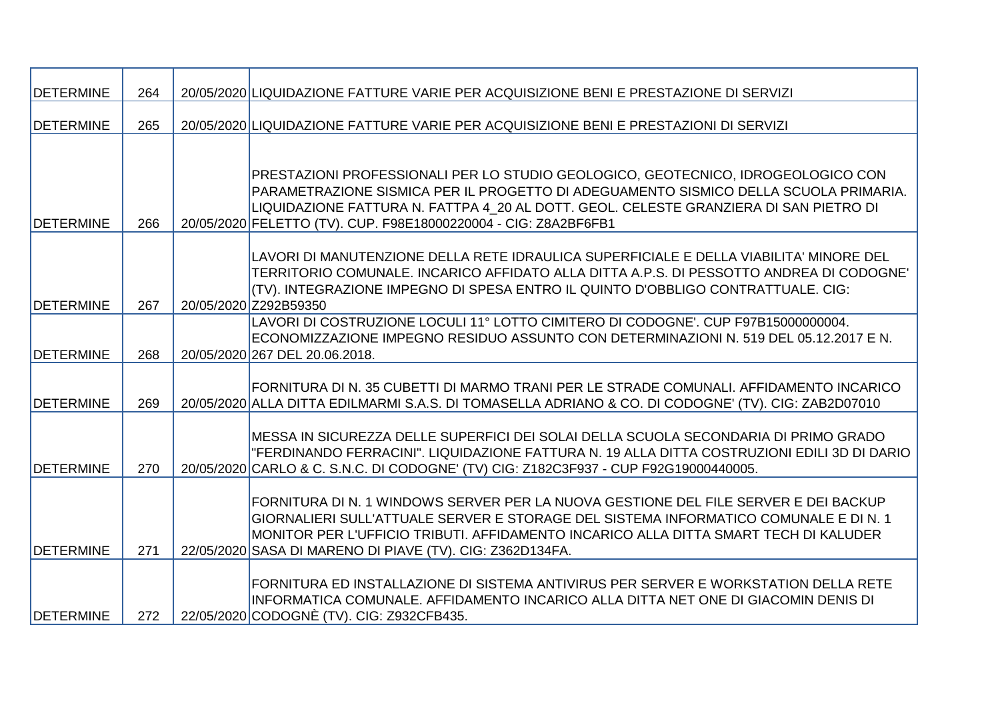| <b>DETERMINE</b> | 264 | 20/05/2020 LIQUIDAZIONE FATTURE VARIE PER ACQUISIZIONE BENI E PRESTAZIONE DI SERVIZI                                                                                                                                                                                                                                                 |
|------------------|-----|--------------------------------------------------------------------------------------------------------------------------------------------------------------------------------------------------------------------------------------------------------------------------------------------------------------------------------------|
| <b>DETERMINE</b> | 265 | 20/05/2020 LIQUIDAZIONE FATTURE VARIE PER ACQUISIZIONE BENI E PRESTAZIONI DI SERVIZI                                                                                                                                                                                                                                                 |
|                  |     |                                                                                                                                                                                                                                                                                                                                      |
| <b>DETERMINE</b> | 266 | PRESTAZIONI PROFESSIONALI PER LO STUDIO GEOLOGICO, GEOTECNICO, IDROGEOLOGICO CON<br>PARAMETRAZIONE SISMICA PER IL PROGETTO DI ADEGUAMENTO SISMICO DELLA SCUOLA PRIMARIA.<br>LIQUIDAZIONE FATTURA N. FATTPA 4 20 AL DOTT. GEOL. CELESTE GRANZIERA DI SAN PIETRO DI<br>20/05/2020 FELETTO (TV). CUP. F98E18000220004 - CIG: Z8A2BF6FB1 |
| <b>DETERMINE</b> | 267 | LAVORI DI MANUTENZIONE DELLA RETE IDRAULICA SUPERFICIALE E DELLA VIABILITA' MINORE DEL<br>TERRITORIO COMUNALE. INCARICO AFFIDATO ALLA DITTA A.P.S. DI PESSOTTO ANDREA DI CODOGNE'<br>(TV). INTEGRAZIONE IMPEGNO DI SPESA ENTRO IL QUINTO D'OBBLIGO CONTRATTUALE. CIG:<br>20/05/2020 Z292B59350                                       |
| <b>DETERMINE</b> | 268 | LAVORI DI COSTRUZIONE LOCULI 11º LOTTO CIMITERO DI CODOGNE', CUP F97B15000000004,<br>ECONOMIZZAZIONE IMPEGNO RESIDUO ASSUNTO CON DETERMINAZIONI N. 519 DEL 05.12.2017 E N.<br>20/05/2020 267 DEL 20.06.2018.                                                                                                                         |
| <b>DETERMINE</b> | 269 | FORNITURA DI N. 35 CUBETTI DI MARMO TRANI PER LE STRADE COMUNALI. AFFIDAMENTO INCARICO<br>20/05/2020 ALLA DITTA EDILMARMI S.A.S. DI TOMASELLA ADRIANO & CO. DI CODOGNE' (TV). CIG: ZAB2D07010                                                                                                                                        |
| <b>DETERMINE</b> | 270 | MESSA IN SICUREZZA DELLE SUPERFICI DEI SOLAI DELLA SCUOLA SECONDARIA DI PRIMO GRADO<br>"FERDINANDO FERRACINI". LIQUIDAZIONE FATTURA N. 19 ALLA DITTA COSTRUZIONI EDILI 3D DI DARIO<br>20/05/2020 CARLO & C. S.N.C. DI CODOGNE' (TV) CIG: Z182C3F937 - CUP F92G19000440005.                                                           |
| <b>DETERMINE</b> | 271 | FORNITURA DI N. 1 WINDOWS SERVER PER LA NUOVA GESTIONE DEL FILE SERVER E DEI BACKUP<br>GIORNALIERI SULL'ATTUALE SERVER E STORAGE DEL SISTEMA INFORMATICO COMUNALE E DI N. 1<br>MONITOR PER L'UFFICIO TRIBUTI. AFFIDAMENTO INCARICO ALLA DITTA SMART TECH DI KALUDER<br>22/05/2020 SASA DI MARENO DI PIAVE (TV). CIG: Z362D134FA.     |
| <b>DETERMINE</b> | 272 | FORNITURA ED INSTALLAZIONE DI SISTEMA ANTIVIRUS PER SERVER E WORKSTATION DELLA RETE<br>INFORMATICA COMUNALE. AFFIDAMENTO INCARICO ALLA DITTA NET ONE DI GIACOMIN DENIS DI<br>22/05/2020 CODOGNE (TV). CIG: Z932CFB435.                                                                                                               |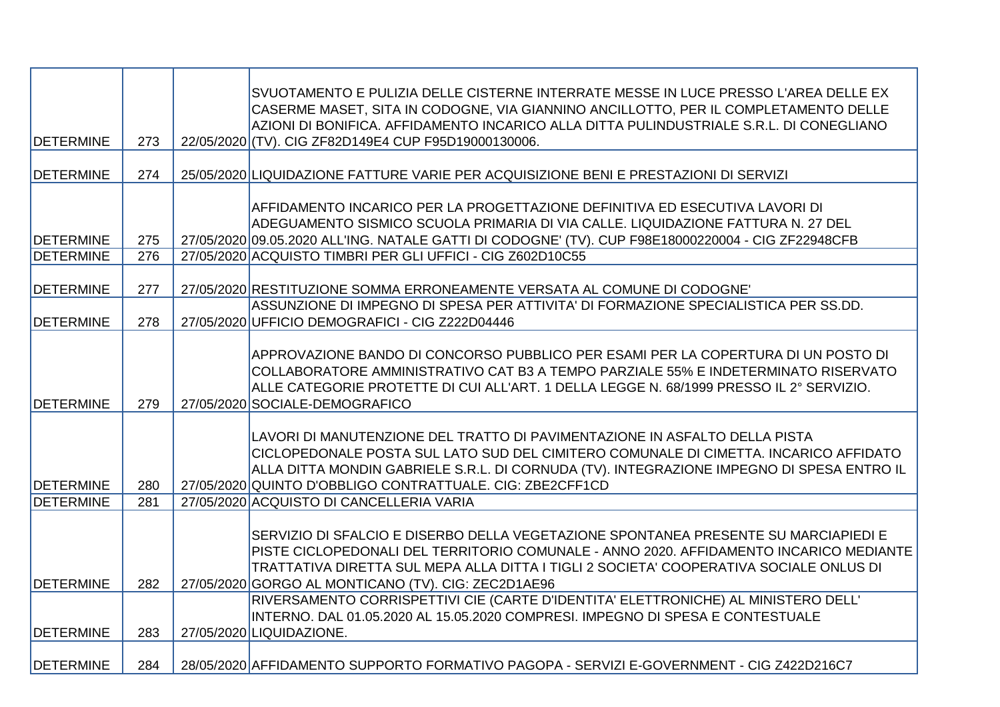|                                      |     | SVUOTAMENTO E PULIZIA DELLE CISTERNE INTERRATE MESSE IN LUCE PRESSO L'AREA DELLE EX<br>CASERME MASET, SITA IN CODOGNE, VIA GIANNINO ANCILLOTTO, PER IL COMPLETAMENTO DELLE<br>AZIONI DI BONIFICA. AFFIDAMENTO INCARICO ALLA DITTA PULINDUSTRIALE S.R.L. DI CONEGLIANO                                                          |
|--------------------------------------|-----|--------------------------------------------------------------------------------------------------------------------------------------------------------------------------------------------------------------------------------------------------------------------------------------------------------------------------------|
| <b>DETERMINE</b>                     | 273 | 22/05/2020 (TV). CIG ZF82D149E4 CUP F95D19000130006.                                                                                                                                                                                                                                                                           |
| <b>DETERMINE</b>                     | 274 | 25/05/2020 LIQUIDAZIONE FATTURE VARIE PER ACQUISIZIONE BENI E PRESTAZIONI DI SERVIZI                                                                                                                                                                                                                                           |
|                                      | 275 | AFFIDAMENTO INCARICO PER LA PROGETTAZIONE DEFINITIVA ED ESECUTIVA LAVORI DI<br>ADEGUAMENTO SISMICO SCUOLA PRIMARIA DI VIA CALLE. LIQUIDAZIONE FATTURA N. 27 DEL                                                                                                                                                                |
| <b>DETERMINE</b><br><b>DETERMINE</b> | 276 | 27/05/2020 09.05.2020 ALL'ING. NATALE GATTI DI CODOGNE' (TV). CUP F98E18000220004 - CIG ZF22948CFB<br>27/05/2020 ACQUISTO TIMBRI PER GLI UFFICI - CIG Z602D10C55                                                                                                                                                               |
|                                      |     |                                                                                                                                                                                                                                                                                                                                |
| <b>DETERMINE</b>                     | 277 | 27/05/2020 RESTITUZIONE SOMMA ERRONEAMENTE VERSATA AL COMUNE DI CODOGNE'                                                                                                                                                                                                                                                       |
| <b>DETERMINE</b>                     | 278 | ASSUNZIONE DI IMPEGNO DI SPESA PER ATTIVITA' DI FORMAZIONE SPECIALISTICA PER SS.DD.<br>27/05/2020 UFFICIO DEMOGRAFICI - CIG Z222D04446                                                                                                                                                                                         |
| <b>IDETERMINE</b>                    | 279 | APPROVAZIONE BANDO DI CONCORSO PUBBLICO PER ESAMI PER LA COPERTURA DI UN POSTO DI<br>COLLABORATORE AMMINISTRATIVO CAT B3 A TEMPO PARZIALE 55% E INDETERMINATO RISERVATO<br>ALLE CATEGORIE PROTETTE DI CUI ALL'ART. 1 DELLA LEGGE N. 68/1999 PRESSO IL 2° SERVIZIO.<br>27/05/2020 SOCIALE-DEMOGRAFICO                           |
| <b>DETERMINE</b>                     | 280 | LAVORI DI MANUTENZIONE DEL TRATTO DI PAVIMENTAZIONE IN ASFALTO DELLA PISTA<br>CICLOPEDONALE POSTA SUL LATO SUD DEL CIMITERO COMUNALE DI CIMETTA. INCARICO AFFIDATO<br>ALLA DITTA MONDIN GABRIELE S.R.L. DI CORNUDA (TV). INTEGRAZIONE IMPEGNO DI SPESA ENTRO IL<br>27/05/2020 QUINTO D'OBBLIGO CONTRATTUALE. CIG: ZBE2CFF1CD   |
| <b>DETERMINE</b>                     | 281 | 27/05/2020 ACQUISTO DI CANCELLERIA VARIA                                                                                                                                                                                                                                                                                       |
| <b>DETERMINE</b>                     | 282 | SERVIZIO DI SFALCIO E DISERBO DELLA VEGETAZIONE SPONTANEA PRESENTE SU MARCIAPIEDI E<br>PISTE CICLOPEDONALI DEL TERRITORIO COMUNALE - ANNO 2020. AFFIDAMENTO INCARICO MEDIANTE<br>TRATTATIVA DIRETTA SUL MEPA ALLA DITTA I TIGLI 2 SOCIETA' COOPERATIVA SOCIALE ONLUS DI<br>27/05/2020 GORGO AL MONTICANO (TV). CIG: ZEC2D1AE96 |
|                                      |     | RIVERSAMENTO CORRISPETTIVI CIE (CARTE D'IDENTITA' ELETTRONICHE) AL MINISTERO DELL'                                                                                                                                                                                                                                             |
|                                      |     | INTERNO. DAL 01.05.2020 AL 15.05.2020 COMPRESI. IMPEGNO DI SPESA E CONTESTUALE                                                                                                                                                                                                                                                 |
| <b>DETERMINE</b>                     | 283 | 27/05/2020 LIQUIDAZIONE.                                                                                                                                                                                                                                                                                                       |
| <b>DETERMINE</b>                     | 284 | 28/05/2020 AFFIDAMENTO SUPPORTO FORMATIVO PAGOPA - SERVIZI E-GOVERNMENT - CIG Z422D216C7                                                                                                                                                                                                                                       |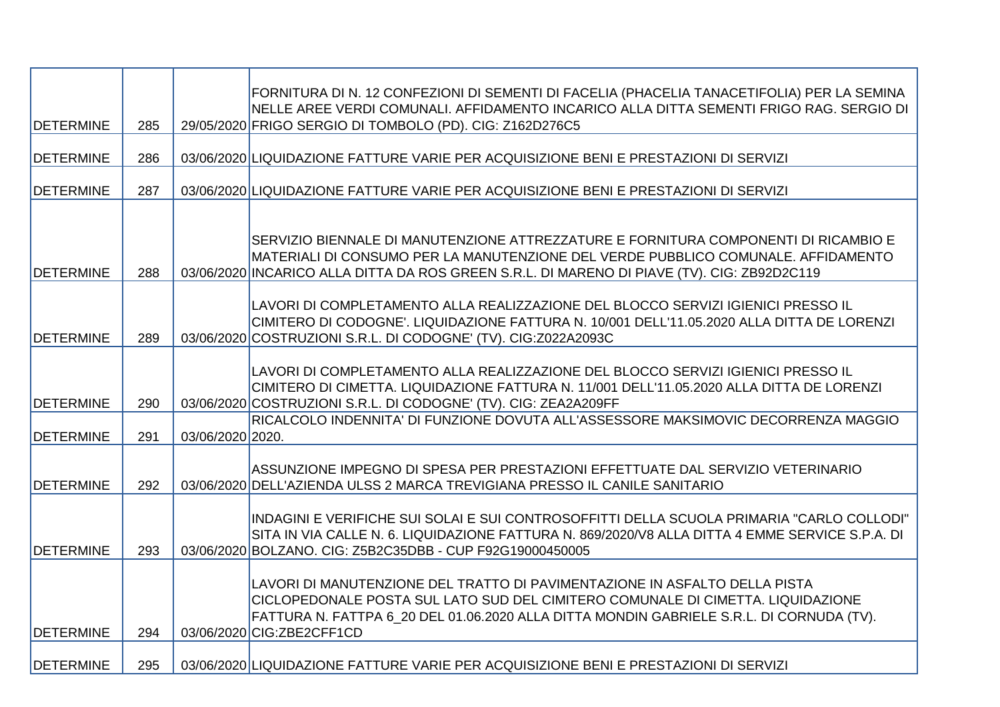| <b>DETERMINE</b> | 285 |                  | FORNITURA DI N. 12 CONFEZIONI DI SEMENTI DI FACELIA (PHACELIA TANACETIFOLIA) PER LA SEMINA<br>NELLE AREE VERDI COMUNALI. AFFIDAMENTO INCARICO ALLA DITTA SEMENTI FRIGO RAG. SERGIO DI<br>29/05/2020 FRIGO SERGIO DI TOMBOLO (PD). CIG: Z162D276C5                                       |
|------------------|-----|------------------|-----------------------------------------------------------------------------------------------------------------------------------------------------------------------------------------------------------------------------------------------------------------------------------------|
|                  |     |                  |                                                                                                                                                                                                                                                                                         |
| <b>DETERMINE</b> | 286 |                  | 03/06/2020 LIQUIDAZIONE FATTURE VARIE PER ACQUISIZIONE BENI E PRESTAZIONI DI SERVIZI                                                                                                                                                                                                    |
| <b>DETERMINE</b> | 287 |                  | 03/06/2020 LIQUIDAZIONE FATTURE VARIE PER ACQUISIZIONE BENI E PRESTAZIONI DI SERVIZI                                                                                                                                                                                                    |
| <b>DETERMINE</b> | 288 |                  | SERVIZIO BIENNALE DI MANUTENZIONE ATTREZZATURE E FORNITURA COMPONENTI DI RICAMBIO E<br>MATERIALI DI CONSUMO PER LA MANUTENZIONE DEL VERDE PUBBLICO COMUNALE. AFFIDAMENTO<br>03/06/2020 INCARICO ALLA DITTA DA ROS GREEN S.R.L. DI MARENO DI PIAVE (TV). CIG: ZB92D2C119                 |
| <b>DETERMINE</b> | 289 |                  | LAVORI DI COMPLETAMENTO ALLA REALIZZAZIONE DEL BLOCCO SERVIZI IGIENICI PRESSO IL<br>CIMITERO DI CODOGNE'. LIQUIDAZIONE FATTURA N. 10/001 DELL'11.05.2020 ALLA DITTA DE LORENZI<br>03/06/2020 COSTRUZIONI S.R.L. DI CODOGNE' (TV). CIG:Z022A2093C                                        |
| <b>DETERMINE</b> | 290 |                  | LAVORI DI COMPLETAMENTO ALLA REALIZZAZIONE DEL BLOCCO SERVIZI IGIENICI PRESSO IL<br>CIMITERO DI CIMETTA. LIQUIDAZIONE FATTURA N. 11/001 DELL'11.05.2020 ALLA DITTA DE LORENZI<br>03/06/2020 COSTRUZIONI S.R.L. DI CODOGNE' (TV). CIG: ZEA2A209FF                                        |
| <b>DETERMINE</b> | 291 | 03/06/2020 2020. | IRICALCOLO INDENNITA' DI FUNZIONE DOVUTA ALL'ASSESSORE MAKSIMOVIC DECORRENZA MAGGIO                                                                                                                                                                                                     |
| <b>DETERMINE</b> | 292 |                  | ASSUNZIONE IMPEGNO DI SPESA PER PRESTAZIONI EFFETTUATE DAL SERVIZIO VETERINARIO<br>03/06/2020 DELL'AZIENDA ULSS 2 MARCA TREVIGIANA PRESSO IL CANILE SANITARIO                                                                                                                           |
| <b>DETERMINE</b> | 293 |                  | INDAGINI E VERIFICHE SUI SOLAI E SUI CONTROSOFFITTI DELLA SCUOLA PRIMARIA "CARLO COLLODI"<br>SITA IN VIA CALLE N. 6. LIQUIDAZIONE FATTURA N. 869/2020/V8 ALLA DITTA 4 EMME SERVICE S.P.A. DI<br>03/06/2020 BOLZANO. CIG: Z5B2C35DBB - CUP F92G19000450005                               |
| <b>DETERMINE</b> | 294 |                  | LAVORI DI MANUTENZIONE DEL TRATTO DI PAVIMENTAZIONE IN ASFALTO DELLA PISTA<br>CICLOPEDONALE POSTA SUL LATO SUD DEL CIMITERO COMUNALE DI CIMETTA. LIQUIDAZIONE<br>FATTURA N. FATTPA 6_20 DEL 01.06.2020 ALLA DITTA MONDIN GABRIELE S.R.L. DI CORNUDA (TV).<br>03/06/2020 CIG: ZBE2CFF1CD |
| <b>DETERMINE</b> | 295 |                  | 03/06/2020 LIQUIDAZIONE FATTURE VARIE PER ACQUISIZIONE BENI E PRESTAZIONI DI SERVIZI                                                                                                                                                                                                    |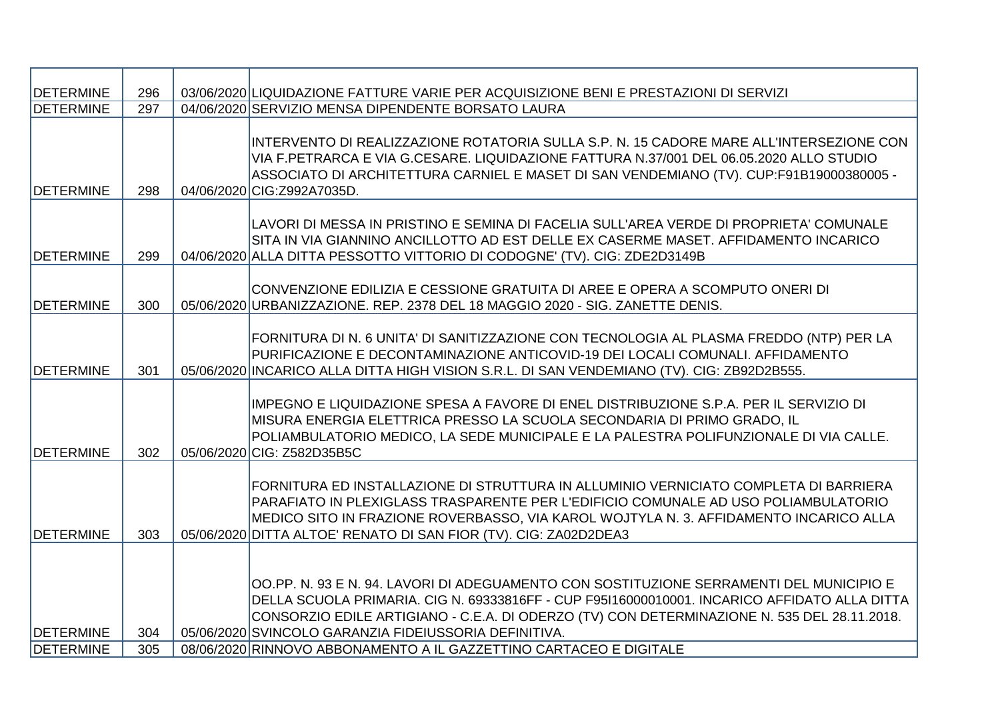| <b>DETERMINE</b> | 296 | 03/06/2020 LIQUIDAZIONE FATTURE VARIE PER ACQUISIZIONE BENI E PRESTAZIONI DI SERVIZI                                                                                                                                                                                                                                                             |
|------------------|-----|--------------------------------------------------------------------------------------------------------------------------------------------------------------------------------------------------------------------------------------------------------------------------------------------------------------------------------------------------|
| <b>DETERMINE</b> | 297 | 04/06/2020 SERVIZIO MENSA DIPENDENTE BORSATO LAURA                                                                                                                                                                                                                                                                                               |
| <b>DETERMINE</b> | 298 | INTERVENTO DI REALIZZAZIONE ROTATORIA SULLA S.P. N. 15 CADORE MARE ALL'INTERSEZIONE CON<br>VIA F.PETRARCA E VIA G.CESARE. LIQUIDAZIONE FATTURA N.37/001 DEL 06.05.2020 ALLO STUDIO<br>ASSOCIATO DI ARCHITETTURA CARNIEL E MASET DI SAN VENDEMIANO (TV). CUP:F91B19000380005 -<br>04/06/2020 CIG:Z992A7035D.                                      |
| <b>DETERMINE</b> | 299 | LAVORI DI MESSA IN PRISTINO E SEMINA DI FACELIA SULL'AREA VERDE DI PROPRIETA' COMUNALE<br>SITA IN VIA GIANNINO ANCILLOTTO AD EST DELLE EX CASERME MASET. AFFIDAMENTO INCARICO<br>04/06/2020 ALLA DITTA PESSOTTO VITTORIO DI CODOGNE' (TV). CIG: ZDE2D3149B                                                                                       |
| <b>DETERMINE</b> | 300 | CONVENZIONE EDILIZIA E CESSIONE GRATUITA DI AREE E OPERA A SCOMPUTO ONERI DI<br>05/06/2020 URBANIZZAZIONE. REP. 2378 DEL 18 MAGGIO 2020 - SIG. ZANETTE DENIS.                                                                                                                                                                                    |
| <b>DETERMINE</b> | 301 | FORNITURA DI N. 6 UNITA' DI SANITIZZAZIONE CON TECNOLOGIA AL PLASMA FREDDO (NTP) PER LA<br>PURIFICAZIONE E DECONTAMINAZIONE ANTICOVID-19 DEI LOCALI COMUNALI. AFFIDAMENTO<br>05/06/2020 INCARICO ALLA DITTA HIGH VISION S.R.L. DI SAN VENDEMIANO (TV). CIG: ZB92D2B555.                                                                          |
| <b>DETERMINE</b> | 302 | IMPEGNO E LIQUIDAZIONE SPESA A FAVORE DI ENEL DISTRIBUZIONE S.P.A. PER IL SERVIZIO DI<br>MISURA ENERGIA ELETTRICA PRESSO LA SCUOLA SECONDARIA DI PRIMO GRADO, IL<br>POLIAMBULATORIO MEDICO, LA SEDE MUNICIPALE E LA PALESTRA POLIFUNZIONALE DI VIA CALLE.<br>05/06/2020 CIG: Z582D35B5C                                                          |
| <b>DETERMINE</b> | 303 | FORNITURA ED INSTALLAZIONE DI STRUTTURA IN ALLUMINIO VERNICIATO COMPLETA DI BARRIERA<br>PARAFIATO IN PLEXIGLASS TRASPARENTE PER L'EDIFICIO COMUNALE AD USO POLIAMBULATORIO<br>MEDICO SITO IN FRAZIONE ROVERBASSO, VIA KAROL WOJTYLA N. 3. AFFIDAMENTO INCARICO ALLA<br>05/06/2020 DITTA ALTOE' RENATO DI SAN FIOR (TV). CIG: ZA02D2DEA3          |
| <b>DETERMINE</b> | 304 | ∣OO.PP. N. 93 E N. 94. LAVORI DI ADEGUAMENTO CON SOSTITUZIONE SERRAMENTI DEL MUNICIPIO E<br>DELLA SCUOLA PRIMARIA. CIG N. 69333816FF - CUP F95I16000010001. INCARICO AFFIDATO ALLA DITTA<br>CONSORZIO EDILE ARTIGIANO - C.E.A. DI ODERZO (TV) CON DETERMINAZIONE N. 535 DEL 28.11.2018.<br>05/06/2020 SVINCOLO GARANZIA FIDEIUSSORIA DEFINITIVA. |
| <b>DETERMINE</b> | 305 | 08/06/2020 RINNOVO ABBONAMENTO A IL GAZZETTINO CARTACEO E DIGITALE                                                                                                                                                                                                                                                                               |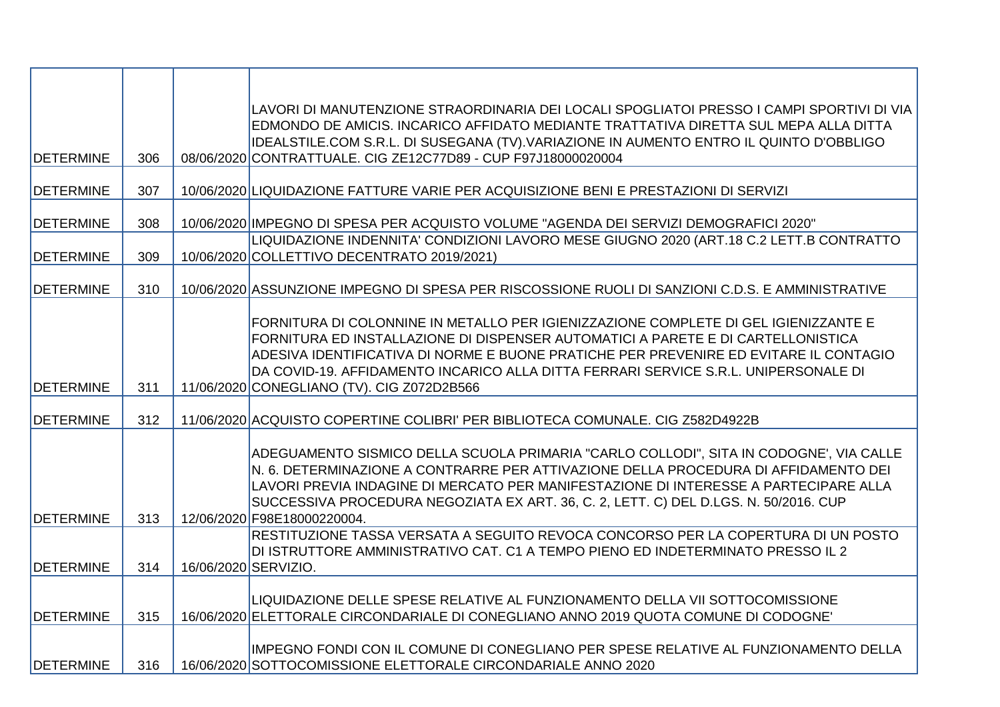| <b>DETERMINE</b>  | 306 |                      | LAVORI DI MANUTENZIONE STRAORDINARIA DEI LOCALI SPOGLIATOI PRESSO I CAMPI SPORTIVI DI VIA<br>EDMONDO DE AMICIS. INCARICO AFFIDATO MEDIANTE TRATTATIVA DIRETTA SUL MEPA ALLA DITTA<br>IDEALSTILE.COM S.R.L. DI SUSEGANA (TV).VARIAZIONE IN AUMENTO ENTRO IL QUINTO D'OBBLIGO<br>08/06/2020 CONTRATTUALE. CIG ZE12C77D89 - CUP F97J18000020004                                                          |
|-------------------|-----|----------------------|-------------------------------------------------------------------------------------------------------------------------------------------------------------------------------------------------------------------------------------------------------------------------------------------------------------------------------------------------------------------------------------------------------|
|                   |     |                      |                                                                                                                                                                                                                                                                                                                                                                                                       |
| <b>DETERMINE</b>  | 307 |                      | 10/06/2020 LIQUIDAZIONE FATTURE VARIE PER ACQUISIZIONE BENI E PRESTAZIONI DI SERVIZI                                                                                                                                                                                                                                                                                                                  |
| <b>DETERMINE</b>  | 308 |                      | 10/06/2020 IMPEGNO DI SPESA PER ACQUISTO VOLUME "AGENDA DEI SERVIZI DEMOGRAFICI 2020"                                                                                                                                                                                                                                                                                                                 |
| <b>DETERMINE</b>  | 309 |                      | LIQUIDAZIONE INDENNITA' CONDIZIONI LAVORO MESE GIUGNO 2020 (ART.18 C.2 LETT.B CONTRATTO<br>10/06/2020 COLLETTIVO DECENTRATO 2019/2021)                                                                                                                                                                                                                                                                |
| <b>DETERMINE</b>  | 310 |                      | 10/06/2020 ASSUNZIONE IMPEGNO DI SPESA PER RISCOSSIONE RUOLI DI SANZIONI C.D.S. E AMMINISTRATIVE                                                                                                                                                                                                                                                                                                      |
| <b>DETERMINE</b>  | 311 |                      | FORNITURA DI COLONNINE IN METALLO PER IGIENIZZAZIONE COMPLETE DI GEL IGIENIZZANTE E<br>FORNITURA ED INSTALLAZIONE DI DISPENSER AUTOMATICI A PARETE E DI CARTELLONISTICA<br>ADESIVA IDENTIFICATIVA DI NORME E BUONE PRATICHE PER PREVENIRE ED EVITARE IL CONTAGIO<br>DA COVID-19. AFFIDAMENTO INCARICO ALLA DITTA FERRARI SERVICE S.R.L. UNIPERSONALE DI<br>11/06/2020 CONEGLIANO (TV). CIG Z072D2B566 |
| <b>IDETERMINE</b> | 312 |                      | 11/06/2020 ACQUISTO COPERTINE COLIBRI' PER BIBLIOTECA COMUNALE. CIG Z582D4922B                                                                                                                                                                                                                                                                                                                        |
| <b>DETERMINE</b>  | 313 |                      | ADEGUAMENTO SISMICO DELLA SCUOLA PRIMARIA "CARLO COLLODI", SITA IN CODOGNE', VIA CALLE<br>N. 6. DETERMINAZIONE A CONTRARRE PER ATTIVAZIONE DELLA PROCEDURA DI AFFIDAMENTO DEI<br>LAVORI PREVIA INDAGINE DI MERCATO PER MANIFESTAZIONE DI INTERESSE A PARTECIPARE ALLA<br>SUCCESSIVA PROCEDURA NEGOZIATA EX ART. 36, C. 2, LETT. C) DEL D.LGS. N. 50/2016. CUP<br>12/06/2020 F98E18000220004.          |
| <b>DETERMINE</b>  | 314 | 16/06/2020 SERVIZIO. | RESTITUZIONE TASSA VERSATA A SEGUITO REVOCA CONCORSO PER LA COPERTURA DI UN POSTO<br>DI ISTRUTTORE AMMINISTRATIVO CAT. C1 A TEMPO PIENO ED INDETERMINATO PRESSO IL 2                                                                                                                                                                                                                                  |
| <b>IDETERMINE</b> | 315 |                      | LIQUIDAZIONE DELLE SPESE RELATIVE AL FUNZIONAMENTO DELLA VII SOTTOCOMISSIONE<br>16/06/2020 ELETTORALE CIRCONDARIALE DI CONEGLIANO ANNO 2019 QUOTA COMUNE DI CODOGNE                                                                                                                                                                                                                                   |
| <b>DETERMINE</b>  | 316 |                      | IMPEGNO FONDI CON IL COMUNE DI CONEGLIANO PER SPESE RELATIVE AL FUNZIONAMENTO DELLA<br>16/06/2020 SOTTOCOMISSIONE ELETTORALE CIRCONDARIALE ANNO 2020                                                                                                                                                                                                                                                  |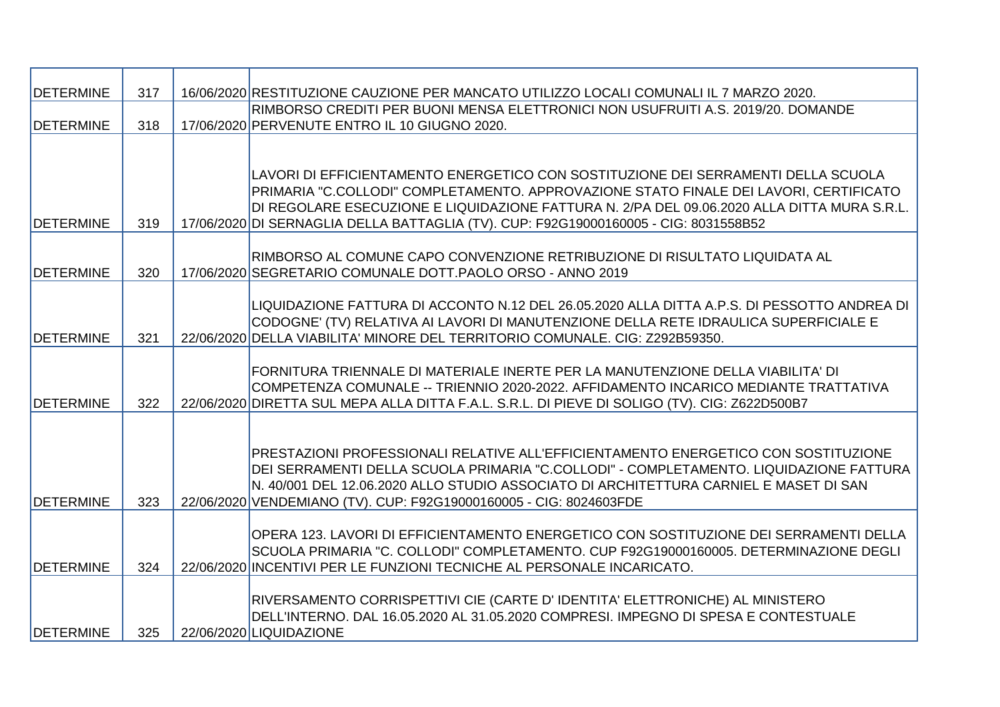| <b>DETERMINE</b>  | 317 | 16/06/2020 RESTITUZIONE CAUZIONE PER MANCATO UTILIZZO LOCALI COMUNALI IL 7 MARZO 2020.        |
|-------------------|-----|-----------------------------------------------------------------------------------------------|
|                   |     | RIMBORSO CREDITI PER BUONI MENSA ELETTRONICI NON USUFRUITI A.S. 2019/20. DOMANDE              |
| <b>DETERMINE</b>  | 318 | 17/06/2020 PERVENUTE ENTRO IL 10 GIUGNO 2020.                                                 |
|                   |     |                                                                                               |
|                   |     |                                                                                               |
|                   |     | LAVORI DI EFFICIENTAMENTO ENERGETICO CON SOSTITUZIONE DEI SERRAMENTI DELLA SCUOLA             |
|                   |     | PRIMARIA "C.COLLODI" COMPLETAMENTO. APPROVAZIONE STATO FINALE DEI LAVORI, CERTIFICATO         |
|                   |     | DI REGOLARE ESECUZIONE E LIQUIDAZIONE FATTURA N. 2/PA DEL 09.06.2020 ALLA DITTA MURA S.R.L.   |
| <b>IDETERMINE</b> | 319 | 17/06/2020 DI SERNAGLIA DELLA BATTAGLIA (TV). CUP: F92G19000160005 - CIG: 8031558B52          |
|                   |     |                                                                                               |
|                   |     | RIMBORSO AL COMUNE CAPO CONVENZIONE RETRIBUZIONE DI RISULTATO LIQUIDATA AL                    |
| <b>DETERMINE</b>  | 320 | 17/06/2020 SEGRETARIO COMUNALE DOTT.PAOLO ORSO - ANNO 2019                                    |
|                   |     |                                                                                               |
|                   |     | LIQUIDAZIONE FATTURA DI ACCONTO N.12 DEL 26.05.2020 ALLA DITTA A.P.S. DI PESSOTTO ANDREA DI   |
|                   |     | CODOGNE' (TV) RELATIVA AI LAVORI DI MANUTENZIONE DELLA RETE IDRAULICA SUPERFICIALE E          |
| <b>DETERMINE</b>  | 321 | 22/06/2020 DELLA VIABILITA' MINORE DEL TERRITORIO COMUNALE. CIG: Z292B59350.                  |
|                   |     |                                                                                               |
|                   |     | FORNITURA TRIENNALE DI MATERIALE INERTE PER LA MANUTENZIONE DELLA VIABILITA' DI               |
|                   |     | ICOMPETENZA COMUNALE -- TRIENNIO 2020-2022. AFFIDAMENTO INCARICO MEDIANTE TRATTATIVA          |
| <b>DETERMINE</b>  | 322 | 22/06/2020 DIRETTA SUL MEPA ALLA DITTA F.A.L. S.R.L. DI PIEVE DI SOLIGO (TV). CIG: Z622D500B7 |
|                   |     |                                                                                               |
|                   |     | PRESTAZIONI PROFESSIONALI RELATIVE ALL'EFFICIENTAMENTO ENERGETICO CON SOSTITUZIONE            |
|                   |     |                                                                                               |
|                   |     | DEI SERRAMENTI DELLA SCUOLA PRIMARIA "C.COLLODI" - COMPLETAMENTO. LIQUIDAZIONE FATTURA        |
| <b>DETERMINE</b>  | 323 | N. 40/001 DEL 12.06.2020 ALLO STUDIO ASSOCIATO DI ARCHITETTURA CARNIEL E MASET DI SAN         |
|                   |     | 22/06/2020 VENDEMIANO (TV). CUP: F92G19000160005 - CIG: 8024603FDE                            |
|                   |     | OPERA 123. LAVORI DI EFFICIENTAMENTO ENERGETICO CON SOSTITUZIONE DEI SERRAMENTI DELLA         |
|                   |     | SCUOLA PRIMARIA "C. COLLODI" COMPLETAMENTO. CUP F92G19000160005. DETERMINAZIONE DEGLI         |
| <b>DETERMINE</b>  | 324 | 22/06/2020 INCENTIVI PER LE FUNZIONI TECNICHE AL PERSONALE INCARICATO.                        |
|                   |     |                                                                                               |
|                   |     | RIVERSAMENTO CORRISPETTIVI CIE (CARTE D'IDENTITA' ELETTRONICHE) AL MINISTERO                  |
|                   |     | DELL'INTERNO. DAL 16.05.2020 AL 31.05.2020 COMPRESI. IMPEGNO DI SPESA E CONTESTUALE           |
| <b>DETERMINE</b>  | 325 | 22/06/2020 LIQUIDAZIONE                                                                       |
|                   |     |                                                                                               |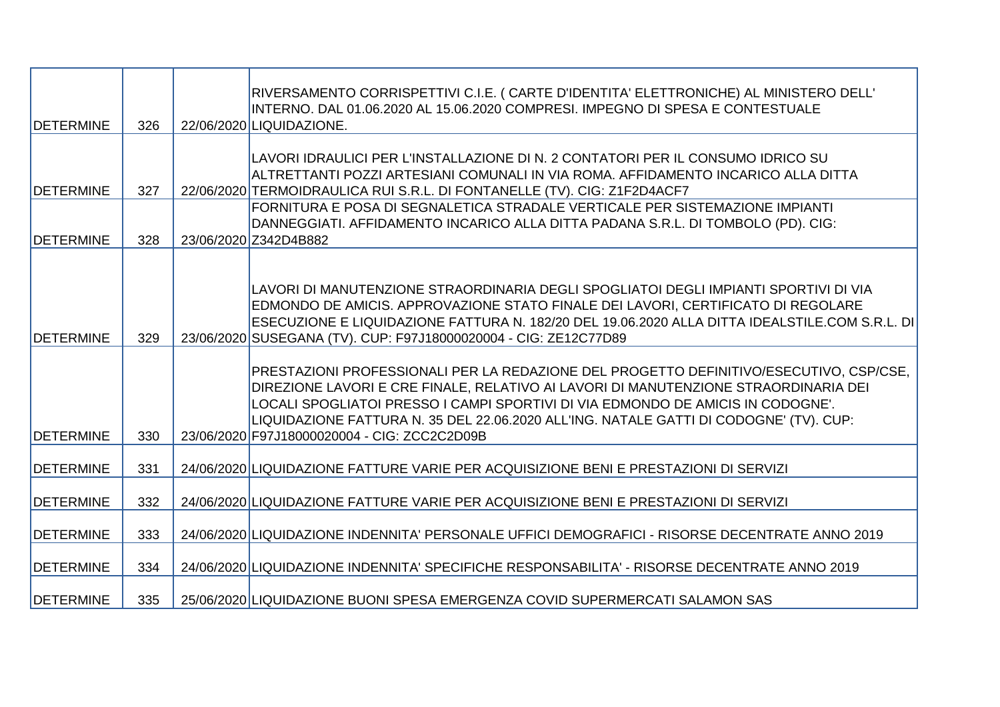| <b>DETERMINE</b>  | 326 | RIVERSAMENTO CORRISPETTIVI C.I.E. (CARTE D'IDENTITA' ELETTRONICHE) AL MINISTERO DELL'<br>INTERNO. DAL 01.06.2020 AL 15.06.2020 COMPRESI. IMPEGNO DI SPESA E CONTESTUALE<br>22/06/2020 LIQUIDAZIONE.                                                                                                                                                                                                        |
|-------------------|-----|------------------------------------------------------------------------------------------------------------------------------------------------------------------------------------------------------------------------------------------------------------------------------------------------------------------------------------------------------------------------------------------------------------|
|                   |     | LAVORI IDRAULICI PER L'INSTALLAZIONE DI N. 2 CONTATORI PER IL CONSUMO IDRICO SU<br>ALTRETTANTI POZZI ARTESIANI COMUNALI IN VIA ROMA. AFFIDAMENTO INCARICO ALLA DITTA                                                                                                                                                                                                                                       |
| <b>DETERMINE</b>  | 327 | 22/06/2020 TERMOIDRAULICA RUI S.R.L. DI FONTANELLE (TV). CIG: Z1F2D4ACF7                                                                                                                                                                                                                                                                                                                                   |
| <b>DETERMINE</b>  | 328 | FORNITURA E POSA DI SEGNALETICA STRADALE VERTICALE PER SISTEMAZIONE IMPIANTI<br>DANNEGGIATI. AFFIDAMENTO INCARICO ALLA DITTA PADANA S.R.L. DI TOMBOLO (PD). CIG:<br>23/06/2020 Z342D4B882                                                                                                                                                                                                                  |
|                   |     |                                                                                                                                                                                                                                                                                                                                                                                                            |
| <b>DETERMINE</b>  | 329 | LAVORI DI MANUTENZIONE STRAORDINARIA DEGLI SPOGLIATOI DEGLI IMPIANTI SPORTIVI DI VIA<br>EDMONDO DE AMICIS. APPROVAZIONE STATO FINALE DEI LAVORI, CERTIFICATO DI REGOLARE<br>ESECUZIONE E LIQUIDAZIONE FATTURA N. 182/20 DEL 19.06.2020 ALLA DITTA IDEALSTILE.COM S.R.L. DI<br>23/06/2020 SUSEGANA (TV). CUP: F97J18000020004 - CIG: ZE12C77D89                                                             |
| <b>IDETERMINE</b> | 330 | PRESTAZIONI PROFESSIONALI PER LA REDAZIONE DEL PROGETTO DEFINITIVO/ESECUTIVO, CSP/CSE,<br>DIREZIONE LAVORI E CRE FINALE, RELATIVO AI LAVORI DI MANUTENZIONE STRAORDINARIA DEI<br>LOCALI SPOGLIATOI PRESSO I CAMPI SPORTIVI DI VIA EDMONDO DE AMICIS IN CODOGNE'.<br>LIQUIDAZIONE FATTURA N. 35 DEL 22.06.2020 ALL'ING. NATALE GATTI DI CODOGNE' (TV). CUP:<br>23/06/2020 F97J18000020004 - CIG: ZCC2C2D09B |
|                   |     |                                                                                                                                                                                                                                                                                                                                                                                                            |
| <b>DETERMINE</b>  | 331 | 24/06/2020 LIQUIDAZIONE FATTURE VARIE PER ACQUISIZIONE BENI E PRESTAZIONI DI SERVIZI                                                                                                                                                                                                                                                                                                                       |
| <b>DETERMINE</b>  | 332 | 24/06/2020 LIQUIDAZIONE FATTURE VARIE PER ACQUISIZIONE BENI E PRESTAZIONI DI SERVIZI                                                                                                                                                                                                                                                                                                                       |
| <b>DETERMINE</b>  | 333 | 24/06/2020 LIQUIDAZIONE INDENNITA' PERSONALE UFFICI DEMOGRAFICI - RISORSE DECENTRATE ANNO 2019                                                                                                                                                                                                                                                                                                             |
| <b>DETERMINE</b>  | 334 | 24/06/2020 LIQUIDAZIONE INDENNITA' SPECIFICHE RESPONSABILITA' - RISORSE DECENTRATE ANNO 2019                                                                                                                                                                                                                                                                                                               |
| <b>DETERMINE</b>  | 335 | 25/06/2020 LIQUIDAZIONE BUONI SPESA EMERGENZA COVID SUPERMERCATI SALAMON SAS                                                                                                                                                                                                                                                                                                                               |